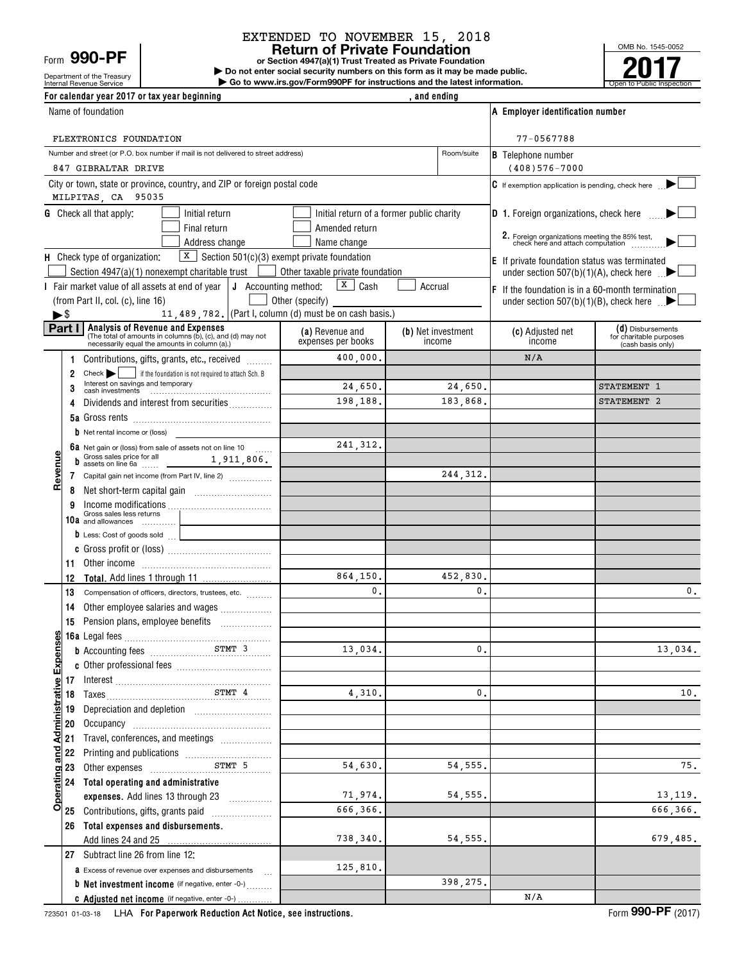Form **990-PF**

#### **Return of Private Foundation** EXTENDED TO NOVEMBER 15, 2018

**or Section 4947(a)(1) Trust Treated as Private Foundation | Do not enter social security numbers on this form as it may be made public. | Go to www.irs.gov/Form990PF for instructions and the latest information.**

OMB No. 1545-0052 **2017**

| Department of the Treasury<br>Internal Revenue Service | $\triangleright$ Do not enter social security numbers on this form as it may be made public.<br>Go to www.irs.gov/Form990PF for instructions and the latest information. | to Public Inspection ا |  |
|--------------------------------------------------------|--------------------------------------------------------------------------------------------------------------------------------------------------------------------------|------------------------|--|
| For calendar year 2017 or tax year beginning           |                                                                                                                                                                          | and ending             |  |

|                                         | Name of foundation                                                                                                                          |                                  |                                           | A Employer identification number                                                    |                                               |
|-----------------------------------------|---------------------------------------------------------------------------------------------------------------------------------------------|----------------------------------|-------------------------------------------|-------------------------------------------------------------------------------------|-----------------------------------------------|
|                                         | FLEXTRONICS FOUNDATION                                                                                                                      |                                  |                                           | 77-0567788                                                                          |                                               |
|                                         | Number and street (or P.O. box number if mail is not delivered to street address)                                                           |                                  | Room/suite                                |                                                                                     |                                               |
|                                         | 847 GIBRALTAR DRIVE                                                                                                                         |                                  |                                           | <b>B</b> Telephone number<br>$(408)576 - 7000$                                      |                                               |
|                                         | City or town, state or province, country, and ZIP or foreign postal code                                                                    |                                  |                                           | $\mathsf G$ If exemption application is pending, check here                         |                                               |
|                                         | MILPITAS, CA 95035                                                                                                                          |                                  |                                           |                                                                                     |                                               |
|                                         | <b>G</b> Check all that apply:<br>Initial return                                                                                            |                                  | Initial return of a former public charity | <b>D</b> 1. Foreign organizations, check here                                       |                                               |
|                                         | Final return                                                                                                                                | Amended return                   |                                           |                                                                                     |                                               |
|                                         | Address change                                                                                                                              | Name change                      |                                           | 2. Foreign organizations meeting the 85% test,<br>check here and attach computation |                                               |
|                                         | $X$ Section 501(c)(3) exempt private foundation<br>H Check type of organization:                                                            |                                  |                                           | <b>E</b> If private foundation status was terminated                                |                                               |
|                                         | Section 4947(a)(1) nonexempt charitable trust                                                                                               | Other taxable private foundation |                                           |                                                                                     | under section 507(b)(1)(A), check here $\Box$ |
|                                         | $\vert$ J Accounting method:<br>Fair market value of all assets at end of year                                                              | $\sqrt{\mathbf{x}}$ Cash         | Accrual                                   | $F$ If the foundation is in a 60-month termination                                  |                                               |
|                                         | (from Part II, col. (c), line 16)                                                                                                           | Other (specify)                  |                                           |                                                                                     | under section 507(b)(1)(B), check here $\Box$ |
| ►\$                                     | 11, 489, 782. (Part I, column (d) must be on cash basis.)                                                                                   |                                  |                                           |                                                                                     |                                               |
| Part I                                  | <b>Analysis of Revenue and Expenses</b>                                                                                                     | (a) Revenue and                  | (b) Net investment                        | (c) Adjusted net                                                                    | (d) Disbursements                             |
|                                         | (The total of amounts in columns (b), (c), and (d) may not<br>necessarily equal the amounts in column (a).)                                 | expenses per books               | income                                    | income                                                                              | for charitable purposes<br>(cash basis only)  |
| 1                                       | Contributions, gifts, grants, etc., received                                                                                                | 400,000.                         |                                           | N/A                                                                                 |                                               |
| 2                                       | Check   if the foundation is not required to attach Sch. B                                                                                  |                                  |                                           |                                                                                     |                                               |
| 3                                       | Interest on savings and temporary                                                                                                           | 24,650.                          | 24,650.                                   |                                                                                     | STATEMENT 1                                   |
| 4                                       | Dividends and interest from securities                                                                                                      | 198,188.                         | 183,868.                                  |                                                                                     | STATEMENT 2                                   |
|                                         |                                                                                                                                             |                                  |                                           |                                                                                     |                                               |
|                                         | b Net rental income or (loss)                                                                                                               |                                  |                                           |                                                                                     |                                               |
|                                         |                                                                                                                                             | 241, 312.                        |                                           |                                                                                     |                                               |
|                                         | 6a Net gain or (loss) from sale of assets not on line 10<br><b>b</b> Gross sales price for all <b>b</b> assets on line 6a <b>1,911,806.</b> |                                  |                                           |                                                                                     |                                               |
| 7                                       | Capital gain net income (from Part IV, line 2)                                                                                              |                                  | 244, 312.                                 |                                                                                     |                                               |
| Revenu                                  |                                                                                                                                             |                                  |                                           |                                                                                     |                                               |
| 8                                       |                                                                                                                                             |                                  |                                           |                                                                                     |                                               |
| 9                                       | Income modifications<br>Gross sales less returns                                                                                            |                                  |                                           |                                                                                     |                                               |
|                                         | 10a and allowances                                                                                                                          |                                  |                                           |                                                                                     |                                               |
|                                         | D Less: Cost of goods sold                                                                                                                  |                                  |                                           |                                                                                     |                                               |
|                                         |                                                                                                                                             |                                  |                                           |                                                                                     |                                               |
| 11                                      | Other income information and the material contracts of the state of the state of the state of the state of the                              | 864,150.                         | 452,830.                                  |                                                                                     |                                               |
| 12                                      |                                                                                                                                             | $\mathbf{0}$ .                   | 0.                                        |                                                                                     | 0.                                            |
| 13                                      | Compensation of officers, directors, trustees, etc.                                                                                         |                                  |                                           |                                                                                     |                                               |
| 14                                      | Other employee salaries and wages                                                                                                           |                                  |                                           |                                                                                     |                                               |
| 15                                      |                                                                                                                                             |                                  |                                           |                                                                                     |                                               |
| ses                                     |                                                                                                                                             | 13,034.                          | $\mathbf 0$ .                             |                                                                                     | 13,034.                                       |
|                                         | <b>b</b> Accounting fees <b>STMT</b> 3                                                                                                      |                                  |                                           |                                                                                     |                                               |
|                                         |                                                                                                                                             |                                  |                                           |                                                                                     |                                               |
| 17                                      |                                                                                                                                             | 4,310.                           | 0.                                        |                                                                                     | 10.                                           |
| 18                                      |                                                                                                                                             |                                  |                                           |                                                                                     |                                               |
| 19                                      |                                                                                                                                             |                                  |                                           |                                                                                     |                                               |
| 20                                      |                                                                                                                                             |                                  |                                           |                                                                                     |                                               |
| 21                                      | Travel, conferences, and meetings                                                                                                           |                                  |                                           |                                                                                     |                                               |
| 22                                      | STMT 5                                                                                                                                      | 54,630.                          | 54, 555.                                  |                                                                                     | 75.                                           |
| 23                                      | Other expenses <b>EXEM</b>                                                                                                                  |                                  |                                           |                                                                                     |                                               |
| Operating and Administrative Expe<br>24 | Total operating and administrative                                                                                                          | 71,974.                          | 54, 555.                                  |                                                                                     | 13, 119.                                      |
|                                         | expenses. Add lines 13 through 23                                                                                                           | 666, 366.                        |                                           |                                                                                     | 666,366.                                      |
| 25                                      |                                                                                                                                             |                                  |                                           |                                                                                     |                                               |
| 26                                      | Total expenses and disbursements.                                                                                                           | 738,340.                         | 54, 555.                                  |                                                                                     | 679,485.                                      |
|                                         | Add lines 24 and 25                                                                                                                         |                                  |                                           |                                                                                     |                                               |
|                                         | 27 Subtract line 26 from line 12:                                                                                                           |                                  |                                           |                                                                                     |                                               |
|                                         | <b>a</b> Excess of revenue over expenses and disbursements                                                                                  | 125,810.                         |                                           |                                                                                     |                                               |
|                                         | <b>b</b> Net investment income (if negative, enter -0-)                                                                                     |                                  | 398,275.                                  | N/A                                                                                 |                                               |
|                                         | c Adjusted net income (if negative, enter -0-)                                                                                              |                                  |                                           |                                                                                     |                                               |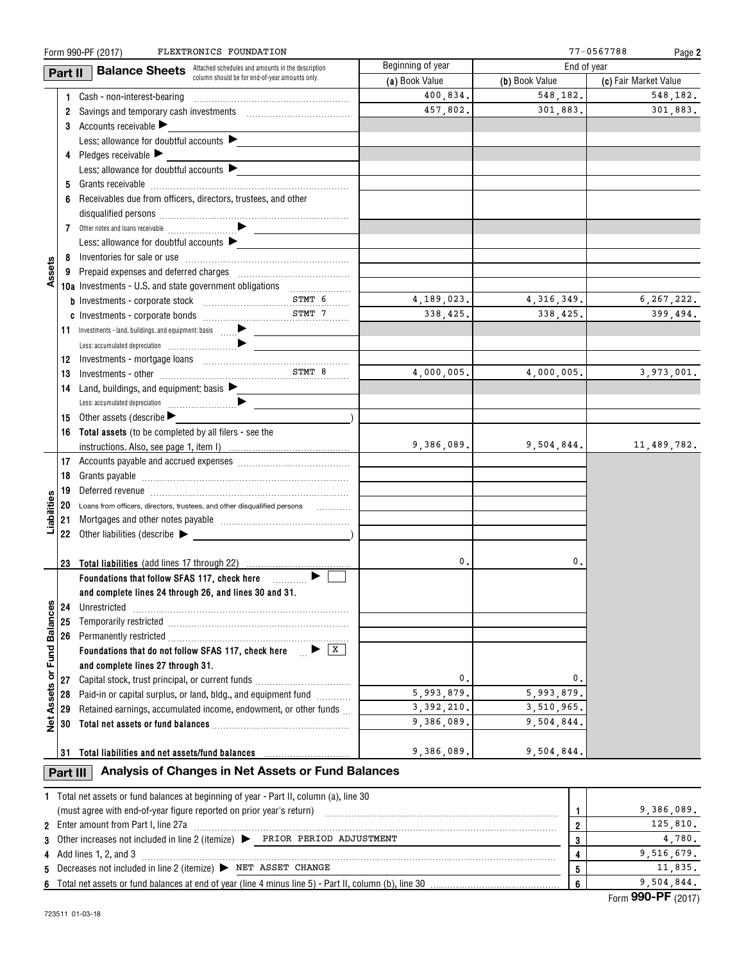|                   |          | Form 990-PF (2017)<br>FLEXTRONICS FOUNDATION                                            |                   |                | 77-0567788<br>Page 2  |
|-------------------|----------|-----------------------------------------------------------------------------------------|-------------------|----------------|-----------------------|
|                   | Part II  | <b>Balance Sheets</b> Attached schedules and amounts in the description                 | Beginning of year |                | End of year           |
|                   |          | column should be for end-of-year amounts only.                                          | (a) Book Value    | (b) Book Value | (c) Fair Market Value |
|                   |          | 1 Cash - non-interest-bearing                                                           | 400,834.          | 548,182.       | 548,182.              |
|                   |          |                                                                                         | 457,802.          | 301,883.       | 301,883.              |
|                   |          | 3 Accounts receivable                                                                   |                   |                |                       |
|                   |          | Less: allowance for doubtful accounts $\blacktriangleright$                             |                   |                |                       |
|                   |          | 4 Pledges receivable                                                                    |                   |                |                       |
|                   |          | Less: allowance for doubtful accounts $\blacktriangleright$                             |                   |                |                       |
|                   | 5        |                                                                                         |                   |                |                       |
|                   | 6        | Receivables due from officers, directors, trustees, and other                           |                   |                |                       |
|                   |          |                                                                                         |                   |                |                       |
|                   |          |                                                                                         |                   |                |                       |
|                   |          | Less: allowance for doubtful accounts                                                   |                   |                |                       |
|                   |          |                                                                                         |                   |                |                       |
| Assets            |          |                                                                                         |                   |                |                       |
|                   |          | 10a Investments - U.S. and state government obligations                                 |                   |                |                       |
|                   |          |                                                                                         | 4,189,023.        | 4,316,349.     | 6, 267, 222.          |
|                   |          |                                                                                         | 338,425.          | 338,425.       | 399,494.              |
|                   |          | 11 Investments - land, buildings, and equipment: basis                                  |                   |                |                       |
|                   |          |                                                                                         |                   |                |                       |
|                   |          |                                                                                         |                   |                |                       |
|                   | 13       | $\begin{minipage}{0.9\linewidth} \textbf{Investments - other} \end{minipage}$           | 4,000,005.        | 4,000,005.     | 3,973,001.            |
|                   | 14       | Land, buildings, and equipment: basis $\blacktriangleright$                             |                   |                |                       |
|                   |          |                                                                                         |                   |                |                       |
|                   | 15       | Other assets (describe $\blacktriangleright$                                            |                   |                |                       |
|                   |          | 16 Total assets (to be completed by all filers - see the                                | 9,386,089.        |                |                       |
|                   |          |                                                                                         |                   | 9,504,844.     | 11,489,782.           |
|                   |          |                                                                                         |                   |                |                       |
|                   | 18       |                                                                                         |                   |                |                       |
|                   | 19       |                                                                                         |                   |                |                       |
|                   | 20       | Loans from officers, directors, trustees, and other disqualified persons<br>.           |                   |                |                       |
| Liabilities       |          |                                                                                         |                   |                |                       |
|                   |          |                                                                                         |                   |                |                       |
|                   |          | 23 Total liabilities (add lines 17 through 22)                                          |                   | 0.<br>0.       |                       |
|                   |          | ▶                                                                                       |                   |                |                       |
|                   |          | and complete lines 24 through 26, and lines 30 and 31.                                  |                   |                |                       |
|                   | 24       | Unrestricted                                                                            |                   |                |                       |
|                   | 25       |                                                                                         |                   |                |                       |
|                   | 26       |                                                                                         |                   |                |                       |
| or Fund Balances  |          | Foundations that do not follow SFAS 117, check here $\Box$ $\blacktriangleright$ $\Box$ |                   |                |                       |
|                   |          | and complete lines 27 through 31.                                                       |                   |                |                       |
|                   | 27       | Capital stock, trust principal, or current funds                                        |                   | 0.<br>0.       |                       |
|                   | 28       | Paid-in or capital surplus, or land, bldg., and equipment fund                          | 5,993,879.        | 5,993,879.     |                       |
|                   | 29       | Retained earnings, accumulated income, endowment, or other funds                        | 3, 392, 210.      | 3,510,965.     |                       |
| <b>Net Assets</b> | 30       |                                                                                         | 9,386,089.        | 9,504,844.     |                       |
|                   |          |                                                                                         |                   |                |                       |
|                   |          | 31 Total liabilities and net assets/fund balances                                       | 9,386,089.        | 9,504,844.     |                       |
|                   | Part III | Analysis of Changes in Net Assets or Fund Balances                                      |                   |                |                       |
|                   |          |                                                                                         |                   |                |                       |
|                   |          | 1 Total net assets or fund balances at beginning of year - Part II, column (a), line 30 |                   |                |                       |
|                   |          | (must agree with end-of-year figure reported on prior year's return)                    |                   | 1.             | 9,386,089.            |
|                   |          | 2 Enter amount from Part I, line 27a                                                    |                   | $\overline{2}$ | 125,810.              |
|                   |          | 3 Other increases not included in line 2 (itemize) PRIOR PERIOD ADJUSTMENT              |                   | 3              | 4,780.                |
|                   |          | 4 Add lines 1, 2, and 3                                                                 |                   | 4              | 9,516,679.            |
| 5                 |          | Decreases not included in line 2 (itemize) ▶ NET ASSET CHANGE                           |                   | 5              | 11,835.               |
|                   |          |                                                                                         |                   | 6              | 9,504,844.            |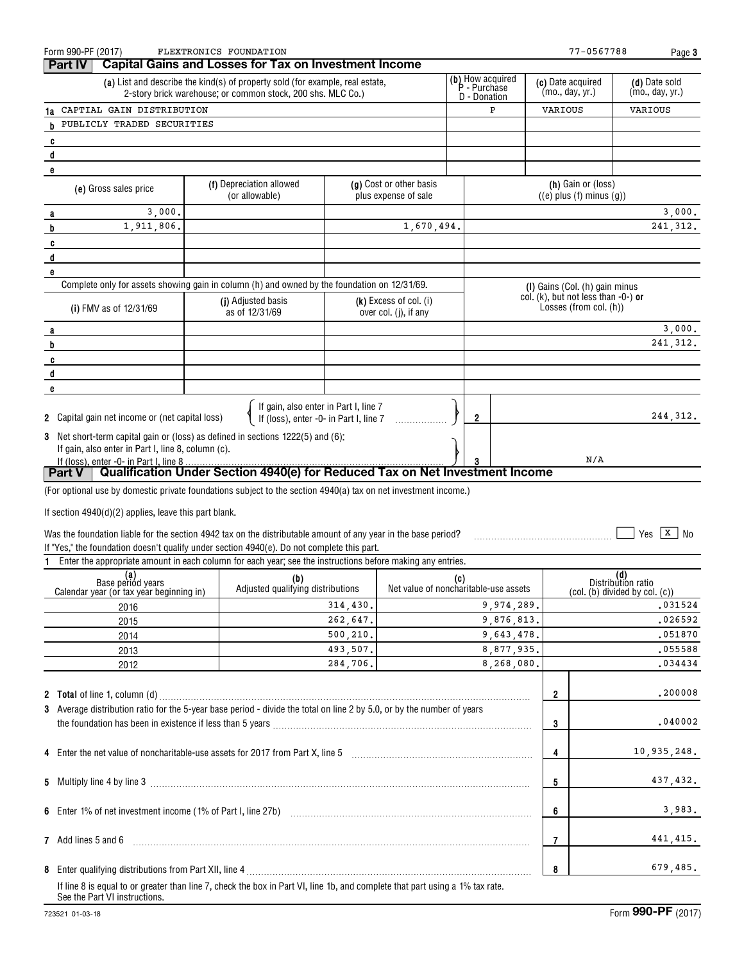|   | Form 990-PF (2017)<br><b>Part IV</b>                                                                                                                                                      | FLEXTRONICS FOUNDATION<br><b>Capital Gains and Losses for Tax on Investment Income</b>                                                       |                      |                                                   |     |                                       |                         | 77-0567788                                                                                      |                           | Page 3                           |
|---|-------------------------------------------------------------------------------------------------------------------------------------------------------------------------------------------|----------------------------------------------------------------------------------------------------------------------------------------------|----------------------|---------------------------------------------------|-----|---------------------------------------|-------------------------|-------------------------------------------------------------------------------------------------|---------------------------|----------------------------------|
|   |                                                                                                                                                                                           | (a) List and describe the kind(s) of property sold (for example, real estate,<br>2-story brick warehouse; or common stock, 200 shs. MLC Co.) |                      |                                                   |     | (b) How acquired<br>P - Purchase      |                         | (c) Date acquired<br>(mo., day, yr.)                                                            |                           | (d) Date sold<br>(mo., day, yr.) |
|   | 1a CAPTIAL GAIN DISTRIBUTION                                                                                                                                                              |                                                                                                                                              |                      |                                                   |     | D - Donation<br>P<br>VARIOUS          |                         |                                                                                                 | VARIOUS                   |                                  |
|   | h PUBLICLY TRADED SECURITIES                                                                                                                                                              |                                                                                                                                              |                      |                                                   |     |                                       |                         |                                                                                                 |                           |                                  |
|   | C                                                                                                                                                                                         |                                                                                                                                              |                      |                                                   |     |                                       |                         |                                                                                                 |                           |                                  |
|   | d                                                                                                                                                                                         |                                                                                                                                              |                      |                                                   |     |                                       |                         |                                                                                                 |                           |                                  |
|   | е                                                                                                                                                                                         |                                                                                                                                              |                      |                                                   |     |                                       |                         |                                                                                                 |                           |                                  |
|   | (e) Gross sales price                                                                                                                                                                     | (f) Depreciation allowed<br>(or allowable)                                                                                                   |                      | (g) Cost or other basis<br>plus expense of sale   |     |                                       |                         | (h) Gain or (loss)<br>$((e)$ plus $(f)$ minus $(g)$ )                                           |                           |                                  |
|   | 3,000,<br>a                                                                                                                                                                               |                                                                                                                                              |                      |                                                   |     |                                       |                         |                                                                                                 |                           | 3,000.                           |
|   | 1,911,806.<br>b                                                                                                                                                                           |                                                                                                                                              |                      | 1,670,494.                                        |     |                                       |                         |                                                                                                 |                           | 241, 312.                        |
|   | C                                                                                                                                                                                         |                                                                                                                                              |                      |                                                   |     |                                       |                         |                                                                                                 |                           |                                  |
|   | d                                                                                                                                                                                         |                                                                                                                                              |                      |                                                   |     |                                       |                         |                                                                                                 |                           |                                  |
|   | е<br>Complete only for assets showing gain in column (h) and owned by the foundation on 12/31/69.                                                                                         |                                                                                                                                              |                      |                                                   |     |                                       |                         |                                                                                                 |                           |                                  |
|   | (i) FMV as of 12/31/69                                                                                                                                                                    | (j) Adjusted basis<br>as of 12/31/69                                                                                                         |                      | $(k)$ Excess of col. (i)<br>over col. (j), if any |     |                                       |                         | (I) Gains (Col. (h) gain minus<br>col. (k), but not less than -0-) or<br>Losses (from col. (h)) |                           |                                  |
|   | а                                                                                                                                                                                         |                                                                                                                                              |                      |                                                   |     |                                       |                         |                                                                                                 |                           | 3,000.                           |
|   | b                                                                                                                                                                                         |                                                                                                                                              |                      |                                                   |     |                                       |                         |                                                                                                 |                           | 241, 312.                        |
|   | C                                                                                                                                                                                         |                                                                                                                                              |                      |                                                   |     |                                       |                         |                                                                                                 |                           |                                  |
|   | d                                                                                                                                                                                         |                                                                                                                                              |                      |                                                   |     |                                       |                         |                                                                                                 |                           |                                  |
|   | е                                                                                                                                                                                         |                                                                                                                                              |                      |                                                   |     |                                       |                         |                                                                                                 |                           |                                  |
|   | 2 Capital gain net income or (net capital loss)                                                                                                                                           | If gain, also enter in Part I, line 7<br>If (loss), enter -0- in Part I, line 7                                                              |                      |                                                   |     | 2                                     |                         |                                                                                                 |                           | 244, 312.                        |
|   | 3 Net short-term capital gain or (loss) as defined in sections 1222(5) and (6):<br>If gain, also enter in Part I, line 8, column (c).                                                     |                                                                                                                                              |                      |                                                   |     |                                       |                         |                                                                                                 |                           |                                  |
|   | If (loss), enter -0- in Part I, line 8<br>  Part V                                                                                                                                        | Qualification Under Section 4940(e) for Reduced Tax on Net Investment Income                                                                 |                      |                                                   |     |                                       |                         | N/A                                                                                             |                           |                                  |
|   | (For optional use by domestic private foundations subject to the section 4940(a) tax on net investment income.)                                                                           |                                                                                                                                              |                      |                                                   |     |                                       |                         |                                                                                                 |                           |                                  |
|   |                                                                                                                                                                                           |                                                                                                                                              |                      |                                                   |     |                                       |                         |                                                                                                 |                           |                                  |
|   | If section 4940(d)(2) applies, leave this part blank.                                                                                                                                     |                                                                                                                                              |                      |                                                   |     |                                       |                         |                                                                                                 |                           |                                  |
|   | Was the foundation liable for the section 4942 tax on the distributable amount of any year in the base period?                                                                            |                                                                                                                                              |                      |                                                   |     |                                       |                         |                                                                                                 | Yes                       | $ X $ No                         |
|   | If "Yes," the foundation doesn't qualify under section 4940(e). Do not complete this part.                                                                                                |                                                                                                                                              |                      |                                                   |     |                                       |                         |                                                                                                 |                           |                                  |
| 1 | Enter the appropriate amount in each column for each year; see the instructions before making any entries.                                                                                |                                                                                                                                              |                      |                                                   |     |                                       |                         |                                                                                                 |                           |                                  |
|   | (a)<br>Base period years<br>Calendar year (or tax year beginning in)                                                                                                                      | (b)<br>Adjusted qualifying distributions                                                                                                     |                      |                                                   | (c) | Net value of noncharitable-use assets |                         | (col. (b) divided by col. (c))                                                                  | (d)<br>Distribution ratio |                                  |
|   | 2016                                                                                                                                                                                      |                                                                                                                                              | 314,430.             |                                                   |     | 9,974,289.                            |                         |                                                                                                 |                           | .031524                          |
|   | 2015                                                                                                                                                                                      |                                                                                                                                              | 262,647.             |                                                   |     | 9,876,813.                            |                         |                                                                                                 |                           | .026592                          |
|   | 2014                                                                                                                                                                                      |                                                                                                                                              | 500,210.<br>493,507. |                                                   |     | 9,643,478.<br>8,877,935.              |                         |                                                                                                 |                           | .051870<br>.055588               |
|   | 2013                                                                                                                                                                                      |                                                                                                                                              | 284,706.             |                                                   |     | 8,268,080.                            |                         |                                                                                                 |                           | .034434                          |
|   | 2012                                                                                                                                                                                      |                                                                                                                                              |                      |                                                   |     |                                       |                         |                                                                                                 |                           |                                  |
|   | <b>2</b> Total of line 1, column (d)                                                                                                                                                      |                                                                                                                                              |                      |                                                   |     |                                       | $\overline{\mathbf{2}}$ |                                                                                                 |                           | .200008                          |
|   | 3 Average distribution ratio for the 5-year base period - divide the total on line 2 by 5.0, or by the number of years                                                                    |                                                                                                                                              |                      |                                                   |     |                                       |                         |                                                                                                 |                           |                                  |
|   |                                                                                                                                                                                           |                                                                                                                                              |                      |                                                   |     |                                       | 3                       |                                                                                                 |                           | .040002                          |
|   | 4 Enter the net value of noncharitable-use assets for 2017 from Part X, line 5 [11] [11] [12] [12] [12] [12] Enter the net value of noncharitable-use assets for 2017 from Part X, line 5 |                                                                                                                                              |                      |                                                   |     |                                       | 4                       |                                                                                                 |                           | 10,935,248.                      |
|   |                                                                                                                                                                                           |                                                                                                                                              |                      |                                                   |     |                                       | 5                       |                                                                                                 |                           | 437,432.                         |
|   |                                                                                                                                                                                           |                                                                                                                                              |                      |                                                   |     |                                       | 6                       |                                                                                                 |                           | 3,983.                           |
|   | 7 Add lines 5 and 6                                                                                                                                                                       |                                                                                                                                              |                      |                                                   |     |                                       | 7                       |                                                                                                 |                           | 441,415.                         |
|   |                                                                                                                                                                                           |                                                                                                                                              |                      |                                                   |     |                                       | 8                       |                                                                                                 |                           | 679,485.                         |
|   | If line 8 is equal to or greater than line 7, check the box in Part VI, line 1b, and complete that part using a 1% tax rate.<br>See the Part VI instructions.                             |                                                                                                                                              |                      |                                                   |     |                                       |                         |                                                                                                 |                           |                                  |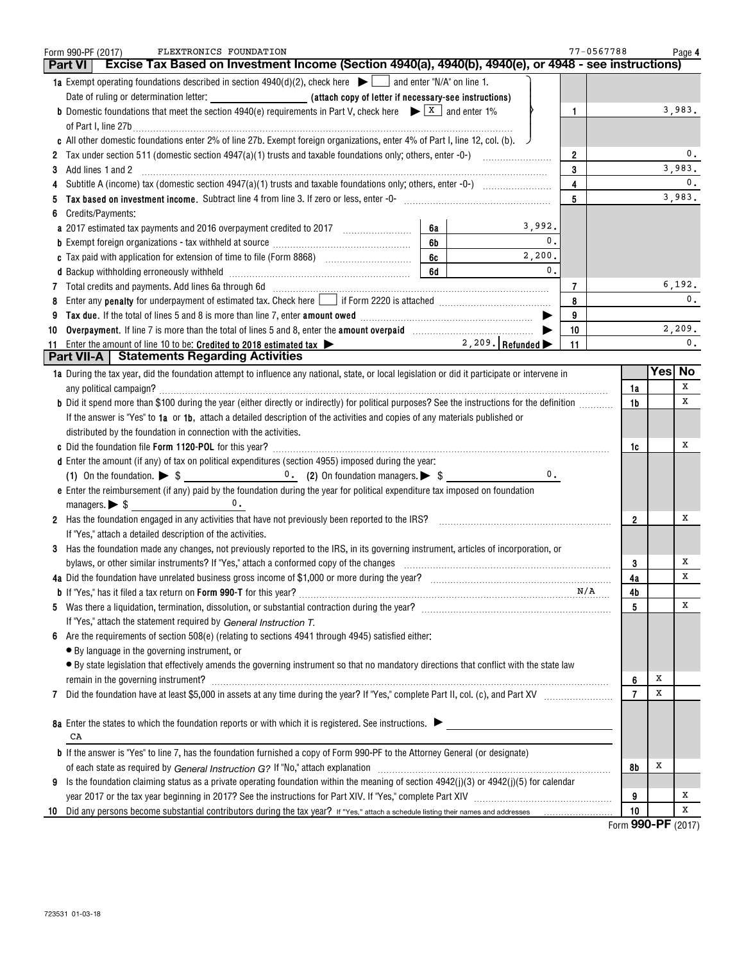|    | FLEXTRONICS FOUNDATION<br>Form 990-PF (2017)<br>Excise Tax Based on Investment Income (Section 4940(a), 4940(b), 4940(e), or 4948 - see instructions)<br><b>Part VI</b>                                                        |              | 77-0567788     |   | Page 4                   |
|----|--------------------------------------------------------------------------------------------------------------------------------------------------------------------------------------------------------------------------------|--------------|----------------|---|--------------------------|
|    | 1a Exempt operating foundations described in section $4940(d)(2)$ , check here $\blacktriangleright \Box$ and enter "N/A" on line 1.                                                                                           |              |                |   |                          |
|    |                                                                                                                                                                                                                                |              |                |   |                          |
|    | <b>b</b> Domestic foundations that meet the section 4940(e) requirements in Part V, check here $\blacktriangleright \boxed{X}$ and enter 1%                                                                                    | $\mathbf{1}$ |                |   | 3,983.                   |
|    |                                                                                                                                                                                                                                |              |                |   |                          |
|    | c All other domestic foundations enter 2% of line 27b. Exempt foreign organizations, enter 4% of Part I, line 12, col. (b).                                                                                                    |              |                |   |                          |
|    |                                                                                                                                                                                                                                | $\mathbf{2}$ |                |   | 0.                       |
| 3  |                                                                                                                                                                                                                                | 3            |                |   | 3,983.                   |
|    |                                                                                                                                                                                                                                | 4            |                |   | $\mathbf{0}$ .           |
|    |                                                                                                                                                                                                                                | 5            |                |   | 3,983.                   |
| 6  | Credits/Payments:                                                                                                                                                                                                              |              |                |   |                          |
|    | 3,992.<br>6а<br>a 2017 estimated tax payments and 2016 overpayment credited to 2017 [11, 1201]                                                                                                                                 |              |                |   |                          |
|    | 0.<br>6b                                                                                                                                                                                                                       |              |                |   |                          |
|    | 2,200.<br>6c<br>$\mathbf{0}$ .                                                                                                                                                                                                 |              |                |   |                          |
|    | 6d                                                                                                                                                                                                                             |              |                |   |                          |
|    | 7 Total credits and payments. Add lines 6a through 6d [11] [11] Total Conservation material credits and payments. Add lines 6a through 6d                                                                                      | 7            |                |   | 6,192.<br>$\mathbf{0}$ . |
| 8  | Enter any <b>penalty</b> for underpayment of estimated tax. Check here if Form 2220 is attached <b>constantly for underpayment</b> of estimated tax. Check here if form 2220 is attached                                       | 8            |                |   |                          |
| 9  |                                                                                                                                                                                                                                | 9            |                |   | 2,209.                   |
| 10 | 2, 209. Refunded $\blacktriangleright$                                                                                                                                                                                         | 10<br>11     |                |   | $\mathbf{0}$ .           |
|    | 11 Enter the amount of line 10 to be: Credited to 2018 estimated tax $\blacktriangleright$<br><b>Part VII-A</b>   Statements Regarding Activities                                                                              |              |                |   |                          |
|    | 1a During the tax year, did the foundation attempt to influence any national, state, or local legislation or did it participate or intervene in                                                                                |              |                |   | Yes  No                  |
|    |                                                                                                                                                                                                                                |              | 1a             |   | х                        |
|    | b Did it spend more than \$100 during the year (either directly or indirectly) for political purposes? See the instructions for the definition                                                                                 |              | 1b             |   | х                        |
|    | If the answer is "Yes" to 1a or 1b, attach a detailed description of the activities and copies of any materials published or                                                                                                   |              |                |   |                          |
|    | distributed by the foundation in connection with the activities.                                                                                                                                                               |              |                |   |                          |
|    |                                                                                                                                                                                                                                |              | 1c             |   | х                        |
|    | d Enter the amount (if any) of tax on political expenditures (section 4955) imposed during the year:                                                                                                                           |              |                |   |                          |
|    | 0.                                                                                                                                                                                                                             |              |                |   |                          |
|    | e Enter the reimbursement (if any) paid by the foundation during the year for political expenditure tax imposed on foundation                                                                                                  |              |                |   |                          |
|    | 0.                                                                                                                                                                                                                             |              |                |   |                          |
|    | 2 Has the foundation engaged in any activities that have not previously been reported to the IRS? [[[[[[[[[[[ [[ [ [ [ [ [ [ ] [ ]]]]]                                                                                         |              | $\overline{2}$ |   | х                        |
|    | If "Yes," attach a detailed description of the activities.                                                                                                                                                                     |              |                |   |                          |
|    | 3 Has the foundation made any changes, not previously reported to the IRS, in its governing instrument, articles of incorporation, or                                                                                          |              |                |   |                          |
|    | bylaws, or other similar instruments? If "Yes," attach a conformed copy of the changes                                                                                                                                         |              | 3              |   | Х                        |
|    |                                                                                                                                                                                                                                |              | 4a             |   | х                        |
|    |                                                                                                                                                                                                                                | N/A          | 4b             |   |                          |
| 5  |                                                                                                                                                                                                                                |              | 5              |   | х                        |
|    | If "Yes," attach the statement required by General Instruction T.                                                                                                                                                              |              |                |   |                          |
| 6  | Are the requirements of section $508(e)$ (relating to sections 4941 through 4945) satisfied either:                                                                                                                            |              |                |   |                          |
|    | • By language in the governing instrument, or                                                                                                                                                                                  |              |                |   |                          |
|    | • By state legislation that effectively amends the governing instrument so that no mandatory directions that conflict with the state law                                                                                       |              |                |   |                          |
|    | remain in the governing instrument? Manual Communication and the contract of the contract of the contract of the contract of the contract of the contract of the contract of the contract of the contract of the contract of t |              | 6              | Х |                          |
| 7  |                                                                                                                                                                                                                                |              | $\overline{7}$ | х |                          |
|    |                                                                                                                                                                                                                                |              |                |   |                          |
|    | 8a Enter the states to which the foundation reports or with which it is registered. See instructions.                                                                                                                          |              |                |   |                          |
|    | CA                                                                                                                                                                                                                             |              |                |   |                          |
|    | <b>b</b> If the answer is "Yes" to line 7, has the foundation furnished a copy of Form 990-PF to the Attorney General (or designate)                                                                                           |              |                |   |                          |
|    |                                                                                                                                                                                                                                |              | 8b             | х |                          |
| 9  | Is the foundation claiming status as a private operating foundation within the meaning of section $4942(j)(3)$ or $4942(j)(5)$ for calendar                                                                                    |              |                |   |                          |
|    |                                                                                                                                                                                                                                |              | 9              |   | х                        |
| 10 |                                                                                                                                                                                                                                |              | 10             |   | Х                        |

Form (2017) **990-PF**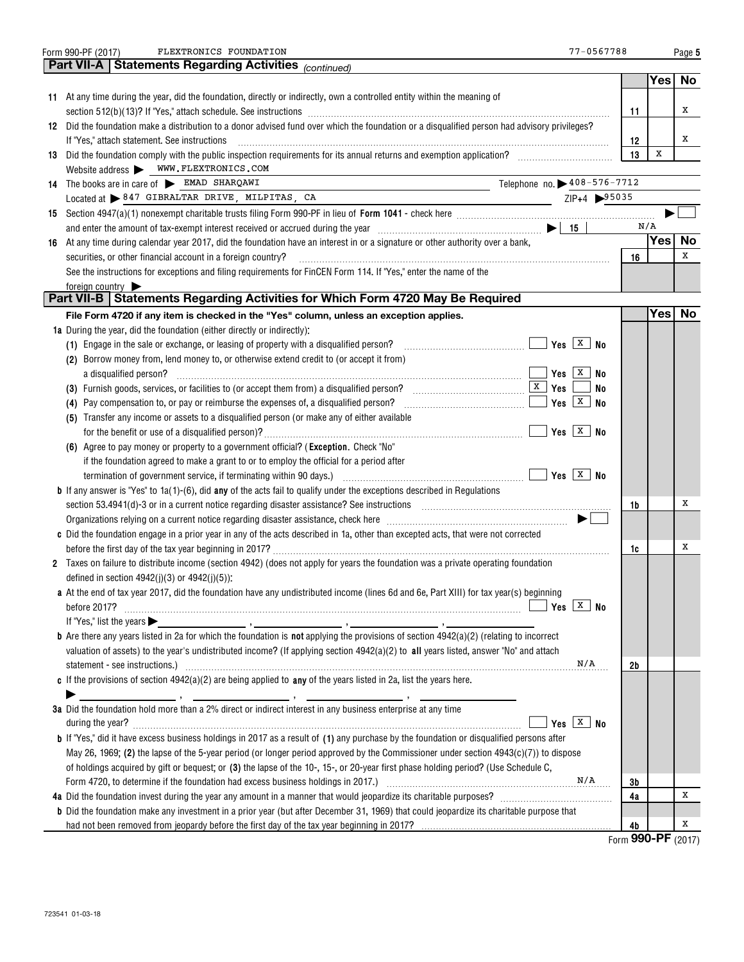| 77-0567788<br>FLEXTRONICS FOUNDATION<br>Form 990-PF (2017)                                                                                                                                                                     |                            |            | Page 5    |
|--------------------------------------------------------------------------------------------------------------------------------------------------------------------------------------------------------------------------------|----------------------------|------------|-----------|
| <b>Part VII-A   Statements Regarding Activities (CONTIAGO)</b>                                                                                                                                                                 |                            |            |           |
|                                                                                                                                                                                                                                |                            | Yes        | No        |
| 11 At any time during the year, did the foundation, directly or indirectly, own a controlled entity within the meaning of                                                                                                      |                            |            |           |
|                                                                                                                                                                                                                                | 11                         |            | х         |
| 12 Did the foundation make a distribution to a donor advised fund over which the foundation or a disqualified person had advisory privileges?                                                                                  |                            |            |           |
| If "Yes," attach statement. See instructions                                                                                                                                                                                   | 12                         |            | х         |
| 13 Did the foundation comply with the public inspection requirements for its annual returns and exemption application?                                                                                                         | 13                         | x          |           |
| Website address WWW.FLEXTRONICS.COM                                                                                                                                                                                            |                            |            |           |
| Telephone no. > 408-576-7712<br>14 The books are in care of EMAD SHARQAWI                                                                                                                                                      |                            |            |           |
| Located at > 847 GIBRALTAR DRIVE, MILPITAS, CA<br>$ZIP+4$ 95035<br><u> 1990 - Johann Barbara, martin a</u>                                                                                                                     |                            |            |           |
|                                                                                                                                                                                                                                |                            | N/A        |           |
| and enter the amount of tax-exempt interest received or accrued during the year $\ldots$ $\ldots$ $\ldots$ $\ldots$ $\ldots$ $\ldots$ $\ldots$ $\ldots$ $\ldots$                                                               |                            | <b>Yes</b> | No        |
| 16 At any time during calendar year 2017, did the foundation have an interest in or a signature or other authority over a bank,                                                                                                |                            |            | x         |
| securities, or other financial account in a foreign country?<br>See the instructions for exceptions and filing requirements for FinCEN Form 114. If "Yes," enter the name of the                                               | 16                         |            |           |
| foreign country                                                                                                                                                                                                                |                            |            |           |
| Part VII-B   Statements Regarding Activities for Which Form 4720 May Be Required                                                                                                                                               |                            |            |           |
| File Form 4720 if any item is checked in the "Yes" column, unless an exception applies.                                                                                                                                        |                            | <b>Yes</b> | <b>No</b> |
| <b>1a</b> During the year, did the foundation (either directly or indirectly):                                                                                                                                                 |                            |            |           |
| (1) Engage in the sale or exchange, or leasing of property with a disqualified person?                                                                                                                                         |                            |            |           |
| (2) Borrow money from, lend money to, or otherwise extend credit to (or accept it from)                                                                                                                                        |                            |            |           |
| Yes $\vert x \vert$<br>No                                                                                                                                                                                                      |                            |            |           |
| No                                                                                                                                                                                                                             |                            |            |           |
| $Yes \nvert X \nvert$<br>No<br>(4) Pay compensation to, or pay or reimburse the expenses of, a disqualified person?                                                                                                            |                            |            |           |
| (5) Transfer any income or assets to a disqualified person (or make any of either available                                                                                                                                    |                            |            |           |
|                                                                                                                                                                                                                                |                            |            |           |
| (6) Agree to pay money or property to a government official? (Exception. Check "No"                                                                                                                                            |                            |            |           |
| if the foundation agreed to make a grant to or to employ the official for a period after                                                                                                                                       |                            |            |           |
|                                                                                                                                                                                                                                |                            |            |           |
| <b>b</b> If any answer is "Yes" to $1a(1)$ -(6), did any of the acts fail to qualify under the exceptions described in Regulations                                                                                             |                            |            |           |
| section 53.4941(d)-3 or in a current notice regarding disaster assistance? See instructions [100] [100] [100] [100] [100] [100] [100] [100] [100] [100] [100] [100] [100] [100] [100] [100] [100] [100] [100] [100] [100] [100 | 1b                         |            | x         |
| Organizations relying on a current notice regarding disaster assistance, check here manufaction contains and successive $\blacktriangleright$ [                                                                                |                            |            |           |
| c Did the foundation engage in a prior year in any of the acts described in 1a, other than excepted acts, that were not corrected                                                                                              |                            |            |           |
|                                                                                                                                                                                                                                | 1c                         |            | х         |
| 2 Taxes on failure to distribute income (section 4942) (does not apply for years the foundation was a private operating foundation                                                                                             |                            |            |           |
| defined in section $4942(j)(3)$ or $4942(j)(5)$ :                                                                                                                                                                              |                            |            |           |
| a At the end of tax year 2017, did the foundation have any undistributed income (lines 6d and 6e, Part XIII) for tax year(s) beginning<br>Yes $ \overline{X} $ No                                                              |                            |            |           |
|                                                                                                                                                                                                                                |                            |            |           |
| <b>b</b> Are there any years listed in 2a for which the foundation is <b>not</b> applying the provisions of section $4942(a)(2)$ (relating to incorrect                                                                        |                            |            |           |
| valuation of assets) to the year's undistributed income? (If applying section 4942(a)(2) to all years listed, answer "No" and attach                                                                                           |                            |            |           |
| N/A                                                                                                                                                                                                                            | 2b                         |            |           |
| c If the provisions of section $4942(a)(2)$ are being applied to any of the years listed in 2a, list the years here.                                                                                                           |                            |            |           |
|                                                                                                                                                                                                                                |                            |            |           |
| 3a Did the foundation hold more than a 2% direct or indirect interest in any business enterprise at any time                                                                                                                   |                            |            |           |
| Yes $ X $ No                                                                                                                                                                                                                   |                            |            |           |
| <b>b</b> If "Yes," did it have excess business holdings in 2017 as a result of (1) any purchase by the foundation or disqualified persons after                                                                                |                            |            |           |
| May 26, 1969; (2) the lapse of the 5-year period (or longer period approved by the Commissioner under section $4943(c)(7)$ ) to dispose                                                                                        |                            |            |           |
| of holdings acquired by gift or bequest; or (3) the lapse of the 10-, 15-, or 20-year first phase holding period? (Use Schedule C,                                                                                             |                            |            |           |
| N/A<br>Form 4720, to determine if the foundation had excess business holdings in 2017.) [11] manufacture in 1999, to determine if the foundation had excess business holdings in 2017.)                                        | 3b                         |            |           |
|                                                                                                                                                                                                                                | 4a                         |            | X         |
| <b>b</b> Did the foundation make any investment in a prior year (but after December 31, 1969) that could jeopardize its charitable purpose that                                                                                |                            |            |           |
| had not been removed from jeopardy before the first day of the tax year beginning in 2017?                                                                                                                                     | 4b<br>Form 990-PF $(2017)$ |            | Х         |
|                                                                                                                                                                                                                                |                            |            |           |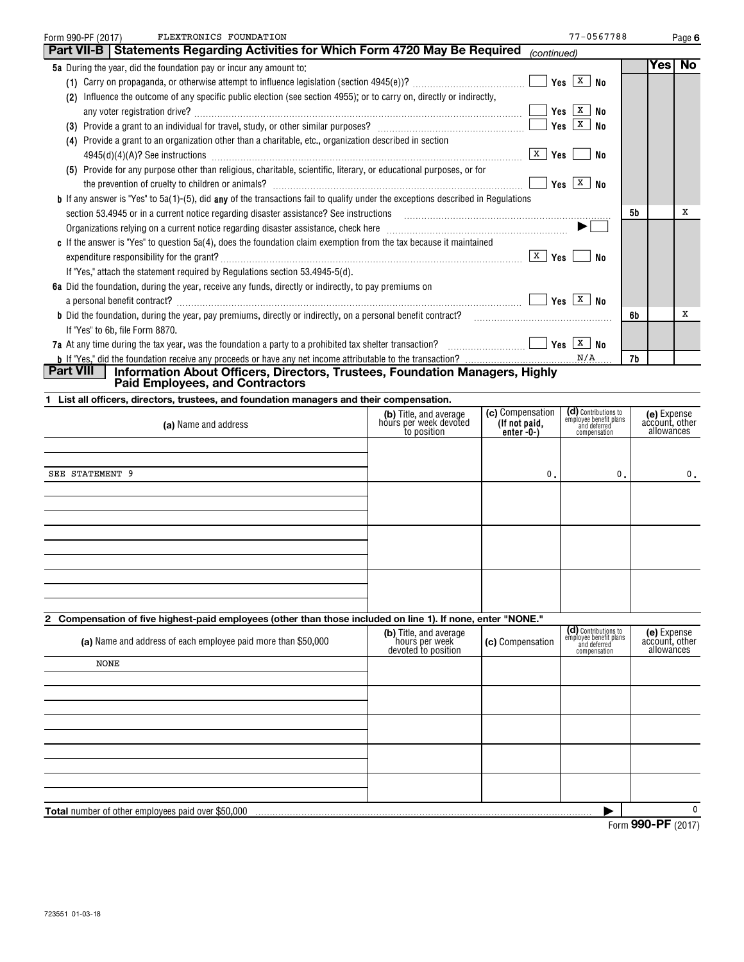| FLEXTRONICS FOUNDATION<br>Form 990-PF (2017)                                                                                                           |                                                  |                                   | 77-0567788                                                     |                              | Page 6                        |
|--------------------------------------------------------------------------------------------------------------------------------------------------------|--------------------------------------------------|-----------------------------------|----------------------------------------------------------------|------------------------------|-------------------------------|
| Part VII-B   Statements Regarding Activities for Which Form 4720 May Be Required                                                                       |                                                  | (continued)                       |                                                                |                              |                               |
| 5a During the year, did the foundation pay or incur any amount to:                                                                                     |                                                  |                                   |                                                                | Yes                          | No                            |
|                                                                                                                                                        |                                                  |                                   |                                                                |                              |                               |
| (2) Influence the outcome of any specific public election (see section 4955); or to carry on, directly or indirectly,                                  |                                                  |                                   |                                                                |                              |                               |
|                                                                                                                                                        |                                                  |                                   | $Yes \ \boxed{X} \ No$                                         |                              |                               |
|                                                                                                                                                        |                                                  |                                   | No                                                             |                              |                               |
| (4) Provide a grant to an organization other than a charitable, etc., organization described in section                                                |                                                  |                                   |                                                                |                              |                               |
|                                                                                                                                                        |                                                  |                                   | ∣No                                                            |                              |                               |
| (5) Provide for any purpose other than religious, charitable, scientific, literary, or educational purposes, or for                                    |                                                  |                                   |                                                                |                              |                               |
|                                                                                                                                                        |                                                  |                                   |                                                                |                              |                               |
| <b>b</b> If any answer is "Yes" to 5a(1)-(5), did any of the transactions fail to qualify under the exceptions described in Regulations                |                                                  |                                   |                                                                |                              |                               |
|                                                                                                                                                        |                                                  |                                   |                                                                | 5b                           | х                             |
| Organizations relying on a current notice regarding disaster assistance, check here manufactured contains and the subsections of $\blacktriangleright$ |                                                  |                                   |                                                                |                              |                               |
| c If the answer is "Yes" to question 5a(4), does the foundation claim exemption from the tax because it maintained                                     |                                                  |                                   |                                                                |                              |                               |
|                                                                                                                                                        |                                                  |                                   | No                                                             |                              |                               |
| If "Yes," attach the statement required by Regulations section 53.4945-5(d).                                                                           |                                                  |                                   |                                                                |                              |                               |
| 6a Did the foundation, during the year, receive any funds, directly or indirectly, to pay premiums on                                                  |                                                  |                                   |                                                                |                              |                               |
|                                                                                                                                                        |                                                  |                                   |                                                                |                              |                               |
|                                                                                                                                                        |                                                  |                                   |                                                                | 6b                           | х                             |
| If "Yes" to 6b, file Form 8870.                                                                                                                        |                                                  |                                   |                                                                |                              |                               |
| 7a At any time during the tax year, was the foundation a party to a prohibited tax shelter transaction? $\Box$ $\Box$ Thes $X$ No                      |                                                  |                                   |                                                                |                              |                               |
|                                                                                                                                                        |                                                  |                                   | N/A                                                            | 7b                           |                               |
| Part VIII<br>Information About Officers, Directors, Trustees, Foundation Managers, Highly                                                              |                                                  |                                   |                                                                |                              |                               |
| <b>Paid Employees, and Contractors</b>                                                                                                                 |                                                  |                                   |                                                                |                              |                               |
| 1 List all officers, directors, trustees, and foundation managers and their compensation.                                                              |                                                  |                                   |                                                                |                              |                               |
| (a) Name and address                                                                                                                                   | (b) Title, and average<br>hours per week devoted | (c) Compensation<br>(If not paid, | (d) Contributions to<br>employee benefit plans<br>and deferred |                              | (e) Expense<br>account, other |
|                                                                                                                                                        | to position                                      | enter $-0$ - $)$                  | compensation                                                   |                              | allowances                    |
|                                                                                                                                                        |                                                  |                                   |                                                                |                              |                               |
|                                                                                                                                                        |                                                  |                                   |                                                                |                              |                               |
| SEE STATEMENT 9                                                                                                                                        |                                                  | 0.                                | 0.                                                             |                              | 0.                            |
|                                                                                                                                                        |                                                  |                                   |                                                                |                              |                               |
|                                                                                                                                                        |                                                  |                                   |                                                                |                              |                               |
|                                                                                                                                                        |                                                  |                                   |                                                                |                              |                               |
|                                                                                                                                                        |                                                  |                                   |                                                                |                              |                               |
|                                                                                                                                                        |                                                  |                                   |                                                                |                              |                               |
|                                                                                                                                                        |                                                  |                                   |                                                                |                              |                               |
|                                                                                                                                                        |                                                  |                                   |                                                                |                              |                               |
|                                                                                                                                                        |                                                  |                                   |                                                                |                              |                               |
|                                                                                                                                                        |                                                  |                                   |                                                                |                              |                               |
| 2 Compensation of five highest-paid employees (other than those included on line 1). If none, enter "NONE."                                            |                                                  |                                   | (d) Contributions to                                           |                              |                               |
| (a) Name and address of each employee paid more than \$50,000                                                                                          | (b) Title, and average<br>hours per week         | (c) Compensation                  | employee benefit plans<br>and deferred                         |                              | (e) Expense<br>account, other |
|                                                                                                                                                        | devoted to position                              |                                   | compensation                                                   |                              | allowances                    |
| <b>NONE</b>                                                                                                                                            |                                                  |                                   |                                                                |                              |                               |
|                                                                                                                                                        |                                                  |                                   |                                                                |                              |                               |
|                                                                                                                                                        |                                                  |                                   |                                                                |                              |                               |
|                                                                                                                                                        |                                                  |                                   |                                                                |                              |                               |
|                                                                                                                                                        |                                                  |                                   |                                                                |                              |                               |
|                                                                                                                                                        |                                                  |                                   |                                                                |                              |                               |
|                                                                                                                                                        |                                                  |                                   |                                                                |                              |                               |
|                                                                                                                                                        |                                                  |                                   |                                                                |                              |                               |
|                                                                                                                                                        |                                                  |                                   |                                                                |                              |                               |
|                                                                                                                                                        |                                                  |                                   |                                                                |                              |                               |
| <b>Total</b> number of other employees paid over \$50,000                                                                                              |                                                  |                                   |                                                                | $QQ$ $Q$ $QQ$ $QQ$ $QQ$ $QQ$ | 0                             |

Form (2017) **990-PF**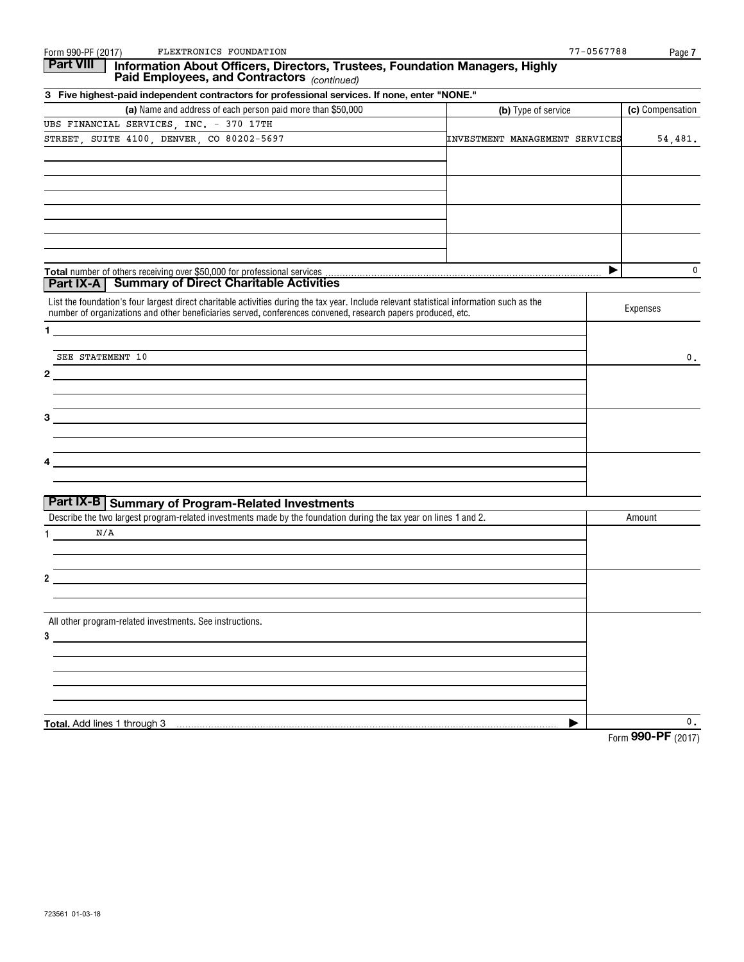| Form 990-PF (2017)<br>FLEXTRONICS FOUNDATION                                                                                                                                                                                                              |                                | 77-0567788<br>Page 7 |
|-----------------------------------------------------------------------------------------------------------------------------------------------------------------------------------------------------------------------------------------------------------|--------------------------------|----------------------|
| <b>Part VIII</b><br>Information About Officers, Directors, Trustees, Foundation Managers, Highly<br>Paid Employees, and Contractors (continued)                                                                                                           |                                |                      |
| 3 Five highest-paid independent contractors for professional services. If none, enter "NONE."                                                                                                                                                             |                                |                      |
| (a) Name and address of each person paid more than \$50,000                                                                                                                                                                                               | (b) Type of service            | (c) Compensation     |
| UBS FINANCIAL SERVICES, INC. - 370 17TH                                                                                                                                                                                                                   |                                |                      |
| STREET, SUITE 4100, DENVER, CO 80202-5697                                                                                                                                                                                                                 | INVESTMENT MANAGEMENT SERVICES | 54,481.              |
|                                                                                                                                                                                                                                                           |                                |                      |
|                                                                                                                                                                                                                                                           |                                |                      |
|                                                                                                                                                                                                                                                           |                                |                      |
|                                                                                                                                                                                                                                                           |                                |                      |
|                                                                                                                                                                                                                                                           |                                | 0<br>Þ               |
| Part IX-A   Summary of Direct Charitable Activities                                                                                                                                                                                                       |                                |                      |
| List the foundation's four largest direct charitable activities during the tax year. Include relevant statistical information such as the<br>number of organizations and other beneficiaries served, conferences convened, research papers produced, etc. |                                | Expenses             |
| $\mathbf 1$                                                                                                                                                                                                                                               |                                |                      |
| SEE STATEMENT 10                                                                                                                                                                                                                                          |                                | 0.                   |
| $\mathbf{2}$                                                                                                                                                                                                                                              |                                |                      |
| 3                                                                                                                                                                                                                                                         |                                |                      |
|                                                                                                                                                                                                                                                           |                                |                      |
|                                                                                                                                                                                                                                                           |                                |                      |
|                                                                                                                                                                                                                                                           |                                |                      |
| Part IX-B Summary of Program-Related Investments                                                                                                                                                                                                          |                                |                      |
| Describe the two largest program-related investments made by the foundation during the tax year on lines 1 and 2.                                                                                                                                         |                                | Amount               |
| N/A<br>1.                                                                                                                                                                                                                                                 |                                |                      |
| 2                                                                                                                                                                                                                                                         |                                |                      |
|                                                                                                                                                                                                                                                           |                                |                      |
| All other program-related investments. See instructions.                                                                                                                                                                                                  |                                |                      |
| 3                                                                                                                                                                                                                                                         |                                |                      |
|                                                                                                                                                                                                                                                           |                                |                      |
|                                                                                                                                                                                                                                                           |                                |                      |
| Total. Add lines 1 through 3                                                                                                                                                                                                                              | ▶                              | 0.                   |
|                                                                                                                                                                                                                                                           |                                | Form 990-PF (2017)   |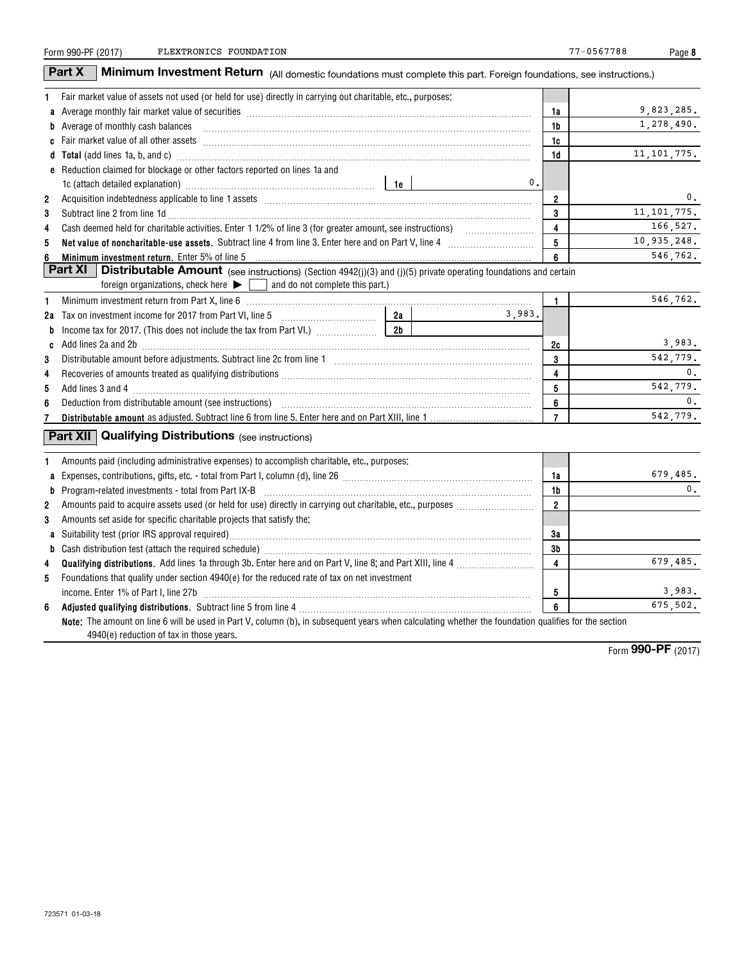| Form 990-PF (2017) |  |
|--------------------|--|
|                    |  |

**8**

|                | Part X<br><b>Minimum Investment Return</b> (All domestic foundations must complete this part. Foreign foundations, see instructions.)                                                                                                |                |                |               |
|----------------|--------------------------------------------------------------------------------------------------------------------------------------------------------------------------------------------------------------------------------------|----------------|----------------|---------------|
| 1              | Fair market value of assets not used (or held for use) directly in carrying out charitable, etc., purposes:                                                                                                                          |                |                |               |
|                | a Average monthly fair market value of securities [11] matter content to the contract of the content of the content of the content of the content of the content of the content of the content of the content of the content o       |                | 1a             | 9,823,285.    |
|                | b Average of monthly cash balances encouragement and a series of monthly cash balances                                                                                                                                               |                | 1b             | 1,278,490.    |
|                |                                                                                                                                                                                                                                      |                | 1c             |               |
|                |                                                                                                                                                                                                                                      |                | 1d             | 11, 101, 775. |
|                | <b>e</b> Reduction claimed for blockage or other factors reported on lines 1a and                                                                                                                                                    |                |                |               |
|                |                                                                                                                                                                                                                                      | $\mathbf{0}$ . |                |               |
| $\overline{2}$ |                                                                                                                                                                                                                                      |                | $\overline{2}$ | 0.            |
| 3              |                                                                                                                                                                                                                                      |                | 3              | 11, 101, 775. |
| 4              |                                                                                                                                                                                                                                      |                | 4              | 166,527.      |
| 5              | Net value of noncharitable-use assets. Subtract line 4 from line 3. Enter here and on Part V, line 4 [11, 1111] Notion 11 [11] Notion 11 [11] Notion 11 [11] Notion 12 [11] Notion 12 [11] Notion 12 [11] Notion 12 [11] Notio       |                | 5              | 10,935,248.   |
| 6              | Minimum investment return. Enter 5% of line 5                                                                                                                                                                                        |                | 6              | 546,762.      |
|                | Part XI<br><b>Distributable Amount</b> (see instructions) (Section 4942(j)(3) and (j)(5) private operating foundations and certain                                                                                                   |                |                |               |
|                | foreign organizations, check here $\blacktriangleright \Box$ and do not complete this part.)                                                                                                                                         |                |                |               |
| 1              | Minimum investment return from Part X, line 6 [11] matter contract the control of the control of the control of the control of the control of the control of the control of the control of the control of the control of the c       |                | $\mathbf{1}$   | 546,762.      |
|                | 2a<br>2a Tax on investment income for 2017 from Part VI, line 5 [100] [100] [100] [100] [100] [100] [100] [100] [100] [100] [100] [100] [100] [100] [100] [100] [100] [100] [100] [100] [100] [100] [100] [100] [100] [100] [100] [1 | 3,983.         |                |               |
| b              | 2b                                                                                                                                                                                                                                   |                |                |               |
|                | c Add lines 2a and 2b [11] manufactured and 20 [11] manufactured and 2b [11] manufactured and 2b [11] manufactured and 2b [11] manufactured and 2b [11] manufactured and 2b [11] manufactured and 2b [11] manufactured and 2b        |                | 2c             | 3,983.        |
| 3              |                                                                                                                                                                                                                                      |                | 3              | 542,779.      |
| 4              |                                                                                                                                                                                                                                      |                | 4              | 0.            |
| 5              |                                                                                                                                                                                                                                      |                | 5              | 542,779.      |
| 6              |                                                                                                                                                                                                                                      |                | 6              | 0.            |
| 7              |                                                                                                                                                                                                                                      |                | $\overline{7}$ | 542,779.      |
|                | <b>Part XII Qualifying Distributions (see instructions)</b>                                                                                                                                                                          |                |                |               |
| 1              | Amounts paid (including administrative expenses) to accomplish charitable, etc., purposes:                                                                                                                                           |                |                |               |
| a              |                                                                                                                                                                                                                                      |                | 1a             | 679,485.      |
| b              | $Program-related investments - total from Part IX-B$                                                                                                                                                                                 |                | 1b             | 0.            |
| $\overline{2}$ |                                                                                                                                                                                                                                      |                | $\overline{2}$ |               |
| 3              | Amounts set aside for specific charitable projects that satisfy the:                                                                                                                                                                 |                |                |               |
|                |                                                                                                                                                                                                                                      |                | 3a             |               |
| b              |                                                                                                                                                                                                                                      |                | 3b             |               |
| 4              |                                                                                                                                                                                                                                      |                | 4              | 679,485.      |
| 5              | Foundations that qualify under section 4940(e) for the reduced rate of tax on net investment                                                                                                                                         |                |                |               |
|                |                                                                                                                                                                                                                                      |                | 5              | 3,983.        |
| 6              |                                                                                                                                                                                                                                      |                | 6              | 675,502.      |
|                | Note: The amount on line 6 will be used in Part V, column (b), in subsequent years when calculating whether the foundation qualifies for the section<br>4940(e) reduction of tax in those years.                                     |                |                |               |

Form (2017) **990-PF**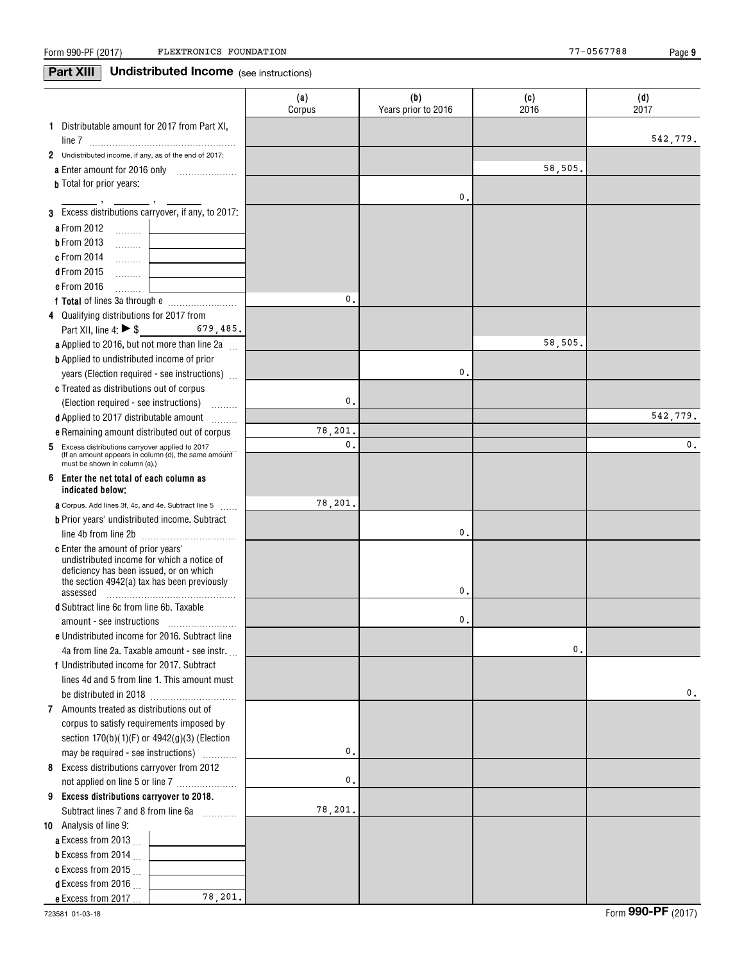**9**

## **Part XIII** Undistributed Income (see instructions)

|                                                                                        | (a)<br>Corpus  | (b)<br>Years prior to 2016 | (c)<br>2016 | (d)<br>2017    |
|----------------------------------------------------------------------------------------|----------------|----------------------------|-------------|----------------|
| 1 Distributable amount for 2017 from Part XI,                                          |                |                            |             | 542,779.       |
| 2 Undistributed income, if any, as of the end of 2017:                                 |                |                            |             |                |
|                                                                                        |                |                            | 58,505.     |                |
| <b>b</b> Total for prior years:                                                        |                | 0.                         |             |                |
| 3 Excess distributions carryover, if any, to 2017:                                     |                |                            |             |                |
| a From 2012<br>. 1                                                                     |                |                            |             |                |
| <b>b</b> From 2013<br>1.1.1.1.1.1.1                                                    |                |                            |             |                |
| <b>c</b> From 2014<br>. 1                                                              |                |                            |             |                |
| <b>d</b> From 2015                                                                     |                |                            |             |                |
| e From 2016<br>.                                                                       |                |                            |             |                |
|                                                                                        | 0.             |                            |             |                |
| 4 Qualifying distributions for 2017 from                                               |                |                            |             |                |
| Part XII, line 4: ▶ \$<br>$679,485$ .                                                  |                |                            |             |                |
| a Applied to 2016, but not more than line 2a                                           |                |                            | 58,505.     |                |
| <b>b</b> Applied to undistributed income of prior                                      |                |                            |             |                |
| years (Election required - see instructions)                                           |                | 0.                         |             |                |
| c Treated as distributions out of corpus                                               |                |                            |             |                |
| (Election required - see instructions)                                                 | 0.             |                            |             |                |
| .<br>d Applied to 2017 distributable amount                                            |                |                            |             | 542.779.       |
| <b>e</b> Remaining amount distributed out of corpus                                    | 78,201.        |                            |             |                |
| 5 Excess distributions carryover applied to 2017                                       | $\mathbf{0}$ . |                            |             | $\mathbf{0}$ . |
| (If an amount appears in column (d), the same amount<br>must be shown in column (a).)  |                |                            |             |                |
| Enter the net total of each column as<br>6<br>indicated below;                         |                |                            |             |                |
| a Corpus. Add lines 3f, 4c, and 4e. Subtract line 5                                    | 78,201.        |                            |             |                |
| <b>b</b> Prior years' undistributed income. Subtract                                   |                |                            |             |                |
| line 4b from line 2b                                                                   |                | 0.                         |             |                |
| <b>c</b> Enter the amount of prior years'                                              |                |                            |             |                |
| undistributed income for which a notice of                                             |                |                            |             |                |
| deficiency has been issued, or on which<br>the section 4942(a) tax has been previously |                |                            |             |                |
| assessed                                                                               |                | 0.                         |             |                |
| <b>d</b> Subtract line 6c from line 6b. Taxable                                        |                |                            |             |                |
|                                                                                        |                | 0.                         |             |                |
| e Undistributed income for 2016. Subtract line                                         |                |                            |             |                |
| 4a from line 2a. Taxable amount - see instr.                                           |                |                            | $^{\circ}$  |                |
| f Undistributed income for 2017. Subtract                                              |                |                            |             |                |
| lines 4d and 5 from line 1. This amount must                                           |                |                            |             |                |
|                                                                                        |                |                            |             | 0.             |
| 7 Amounts treated as distributions out of                                              |                |                            |             |                |
| corpus to satisfy requirements imposed by                                              |                |                            |             |                |
| section $170(b)(1)(F)$ or $4942(g)(3)$ (Election                                       |                |                            |             |                |
| may be required - see instructions)                                                    | 0.             |                            |             |                |
| Excess distributions carryover from 2012<br>8                                          |                |                            |             |                |
| not applied on line 5 or line 7                                                        | 0.             |                            |             |                |
| 9 Excess distributions carryover to 2018.                                              |                |                            |             |                |
| Subtract lines 7 and 8 from line 6a                                                    | 78,201.        |                            |             |                |
| 10 Analysis of line 9:                                                                 |                |                            |             |                |
| a Excess from 2013 $\ldots$                                                            |                |                            |             |                |
| <b>b</b> Excess from 2014                                                              |                |                            |             |                |
| c Excess from 2015 $\ldots$                                                            |                |                            |             |                |
| <b>d</b> Excess from 2016                                                              |                |                            |             |                |
| 78,201.<br>e Excess from 2017                                                          |                |                            |             |                |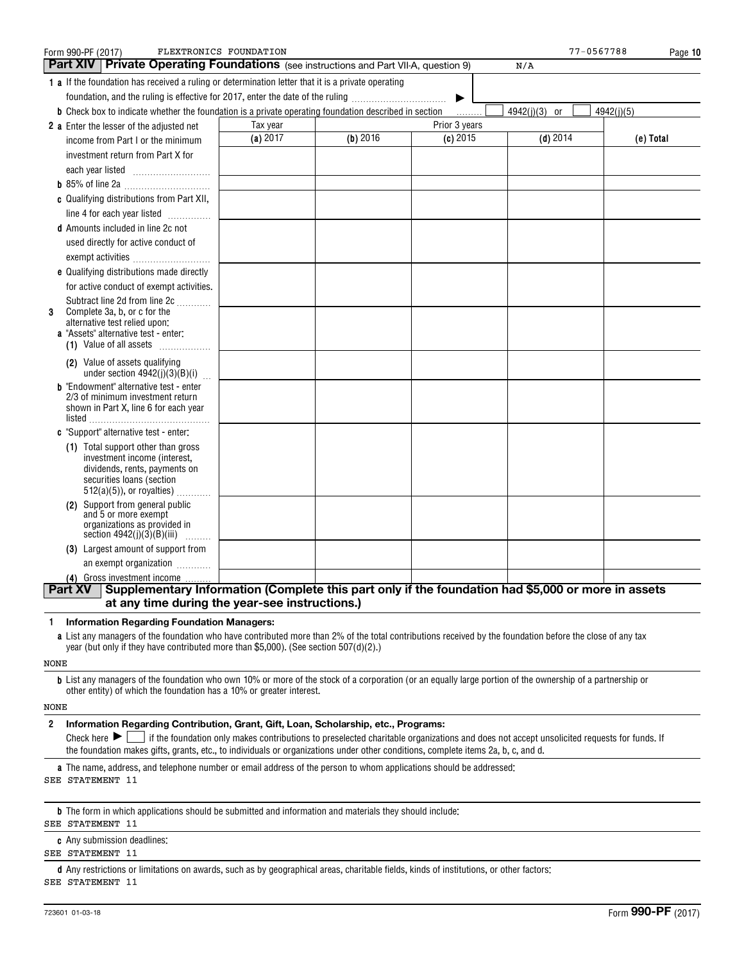| Form 990-PF (2017)                                                                                           | FLEXTRONICS FOUNDATION                                                                             |            |               | 77-0567788    | Page 10    |
|--------------------------------------------------------------------------------------------------------------|----------------------------------------------------------------------------------------------------|------------|---------------|---------------|------------|
| <b>Part XIV   Private Operating Foundations</b> (see instructions and Part VII-A, question 9)                |                                                                                                    |            |               | N/A           |            |
| <b>1 a</b> If the foundation has received a ruling or determination letter that it is a private operating    |                                                                                                    |            |               |               |            |
| foundation, and the ruling is effective for 2017, enter the date of the ruling                               |                                                                                                    |            | ▶             |               |            |
| <b>b</b> Check box to indicate whether the foundation is a private operating foundation described in section |                                                                                                    |            |               | 4942(j)(3) or | 4942(i)(5) |
| 2 a Enter the lesser of the adjusted net                                                                     | Tax year                                                                                           |            | Prior 3 years |               |            |
| income from Part I or the minimum                                                                            | (a) 2017                                                                                           | $(b)$ 2016 | $(c)$ 2015    | $(d)$ 2014    | (e) Total  |
| investment return from Part X for                                                                            |                                                                                                    |            |               |               |            |
|                                                                                                              |                                                                                                    |            |               |               |            |
|                                                                                                              |                                                                                                    |            |               |               |            |
| c Qualifying distributions from Part XII,                                                                    |                                                                                                    |            |               |               |            |
| line 4 for each year listed                                                                                  |                                                                                                    |            |               |               |            |
| <b>d</b> Amounts included in line 2c not                                                                     |                                                                                                    |            |               |               |            |
| used directly for active conduct of                                                                          |                                                                                                    |            |               |               |            |
| exempt activities                                                                                            |                                                                                                    |            |               |               |            |
| e Qualifying distributions made directly                                                                     |                                                                                                    |            |               |               |            |
| for active conduct of exempt activities.                                                                     |                                                                                                    |            |               |               |            |
| Subtract line 2d from line 2c                                                                                |                                                                                                    |            |               |               |            |
| Complete 3a, b, or c for the<br>3<br>alternative test relied upon:                                           |                                                                                                    |            |               |               |            |
| a "Assets" alternative test - enter:                                                                         |                                                                                                    |            |               |               |            |
| (1) Value of all assets $\ldots$                                                                             |                                                                                                    |            |               |               |            |
| (2) Value of assets qualifying<br>under section $4942(j)(3)(B)(i)$                                           |                                                                                                    |            |               |               |            |
| <b>b</b> "Endowment" alternative test - enter                                                                |                                                                                                    |            |               |               |            |
| 2/3 of minimum investment return                                                                             |                                                                                                    |            |               |               |            |
| shown in Part X, line 6 for each year                                                                        |                                                                                                    |            |               |               |            |
| c "Support" alternative test - enter:                                                                        |                                                                                                    |            |               |               |            |
| (1) Total support other than gross                                                                           |                                                                                                    |            |               |               |            |
| investment income (interest,                                                                                 |                                                                                                    |            |               |               |            |
| dividends, rents, payments on<br>securities loans (section                                                   |                                                                                                    |            |               |               |            |
| $512(a)(5)$ , or royalties)                                                                                  |                                                                                                    |            |               |               |            |
| Support from general public<br>(2)                                                                           |                                                                                                    |            |               |               |            |
| and 5 or more exempt<br>organizations as provided in                                                         |                                                                                                    |            |               |               |            |
| section $4942(j)(3)(B)(iii)$                                                                                 |                                                                                                    |            |               |               |            |
| (3) Largest amount of support from                                                                           |                                                                                                    |            |               |               |            |
| an exempt organization                                                                                       |                                                                                                    |            |               |               |            |
| (4) Gross investment income                                                                                  |                                                                                                    |            |               |               |            |
| <b>Part XV</b>                                                                                               | Supplementary Information (Complete this part only if the foundation had \$5,000 or more in assets |            |               |               |            |
|                                                                                                              | at any time during the year-see instructions.)                                                     |            |               |               |            |

**1Information Regarding Foundation Managers:**

**a**List any managers of the foundation who have contributed more than 2% of the total contributions received by the foundation before the close of any tax year (but only if they have contributed more than \$5,000). (See section 507(d)(2).)

NONE

**b**List any managers of the foundation who own 10% or more of the stock of a corporation (or an equally large portion of the ownership of a partnership or other entity) of which the foundation has a 10% or greater interest.

NONE

#### **2Information Regarding Contribution, Grant, Gift, Loan, Scholarship, etc., Programs:**

Check here  $\blacktriangleright\Box$  if the foundation only makes contributions to preselected charitable organizations and does not accept unsolicited requests for funds. If the foundation makes gifts, grants, etc., to individuals or organizations under other conditions, complete items 2a, b, c, and d.

**a**The name, address, and telephone number or email address of the person to whom applications should be addressed: SEE STATEMENT 11

**b**The form in which applications should be submitted and information and materials they should include:

#### SEE STATEMENT 11

**c**Any submission deadlines:

SEE STATEMENT 11

**d** Any restrictions or limitations on awards, such as by geographical areas, charitable fields, kinds of institutions, or other factors: SEE STATEMENT 11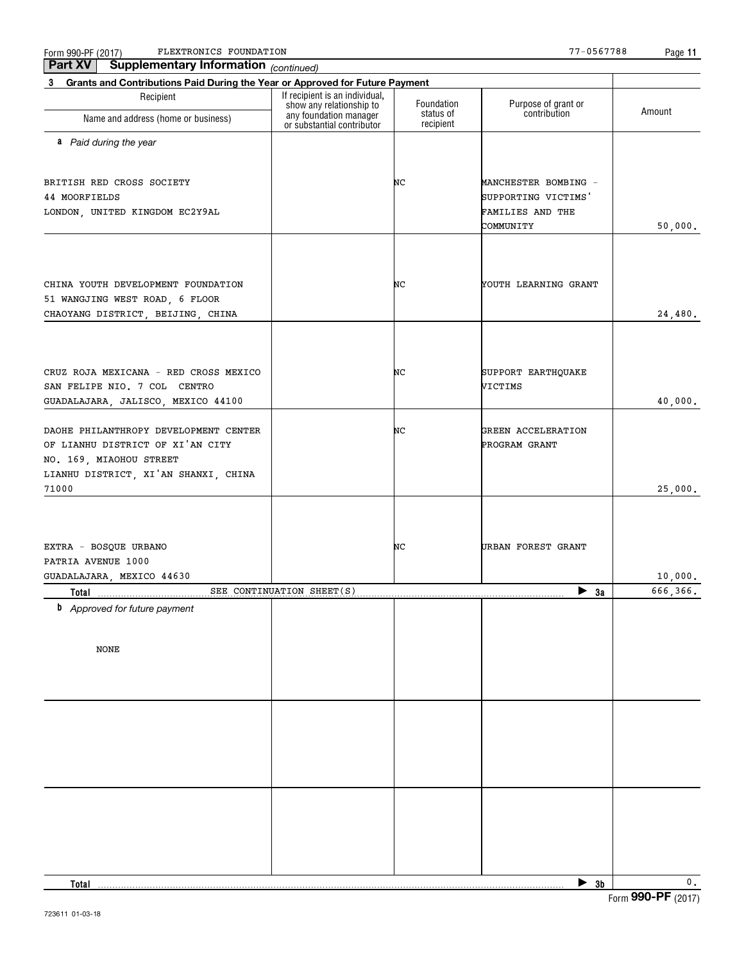$\frac{F_0}{m}$  990-PF (2017) PLEXTRONICS FOUNDATION Page (2017) Page (2017) Page (2017) Page (2017) FLEXTRONICS FOUNDATION 77-0567788

*(continued)* **Part XV Supplementary Information**

**11**

| Grants and Contributions Paid During the Year or Approved for Future Payment<br>3                                                                     |                                                            |                        |                                                                              |           |
|-------------------------------------------------------------------------------------------------------------------------------------------------------|------------------------------------------------------------|------------------------|------------------------------------------------------------------------------|-----------|
| Recipient                                                                                                                                             | If recipient is an individual,<br>show any relationship to | Foundation             | Purpose of grant or                                                          |           |
| Name and address (home or business)                                                                                                                   | any foundation manager<br>or substantial contributor       | status of<br>recipient | contribution                                                                 | Amount    |
| a Paid during the year                                                                                                                                |                                                            |                        |                                                                              |           |
| BRITISH RED CROSS SOCIETY<br>44 MOORFIELDS<br>LONDON, UNITED KINGDOM EC2Y9AL                                                                          |                                                            | NC                     | MANCHESTER BOMBING -<br>SUPPORTING VICTIMS'<br>FAMILIES AND THE<br>COMMUNITY | 50,000.   |
|                                                                                                                                                       |                                                            |                        |                                                                              |           |
| CHINA YOUTH DEVELOPMENT FOUNDATION<br>51 WANGJING WEST ROAD, 6 FLOOR<br>CHAOYANG DISTRICT, BEIJING, CHINA                                             |                                                            | NC                     | YOUTH LEARNING GRANT                                                         | 24,480.   |
|                                                                                                                                                       |                                                            |                        |                                                                              |           |
| CRUZ ROJA MEXICANA - RED CROSS MEXICO<br>SAN FELIPE NIO. 7 COL CENTRO<br>GUADALAJARA, JALISCO, MEXICO 44100                                           |                                                            | NC                     | SUPPORT EARTHQUAKE<br>VICTIMS                                                | 40,000.   |
| DAOHE PHILANTHROPY DEVELOPMENT CENTER<br>OF LIANHU DISTRICT OF XI'AN CITY<br>NO. 169, MIAOHOU STREET<br>LIANHU DISTRICT, XI'AN SHANXI, CHINA<br>71000 |                                                            | NC                     | GREEN ACCELERATION<br>PROGRAM GRANT                                          | 25,000.   |
|                                                                                                                                                       |                                                            |                        |                                                                              |           |
| EXTRA - BOSQUE URBANO<br>PATRIA AVENUE 1000<br>GUADALAJARA, MEXICO 44630                                                                              |                                                            | NC                     | URBAN FOREST GRANT                                                           | 10,000.   |
| Total                                                                                                                                                 | SEE CONTINUATION SHEET(S)                                  |                        | $\blacktriangleright$ 3a                                                     | 666, 366. |
| <b>b</b> Approved for future payment<br><b>NONE</b>                                                                                                   |                                                            |                        |                                                                              |           |
|                                                                                                                                                       |                                                            |                        |                                                                              |           |
|                                                                                                                                                       |                                                            |                        |                                                                              |           |
| Total                                                                                                                                                 |                                                            |                        | $\blacktriangleright$ 3b                                                     | 0.        |
|                                                                                                                                                       |                                                            |                        |                                                                              |           |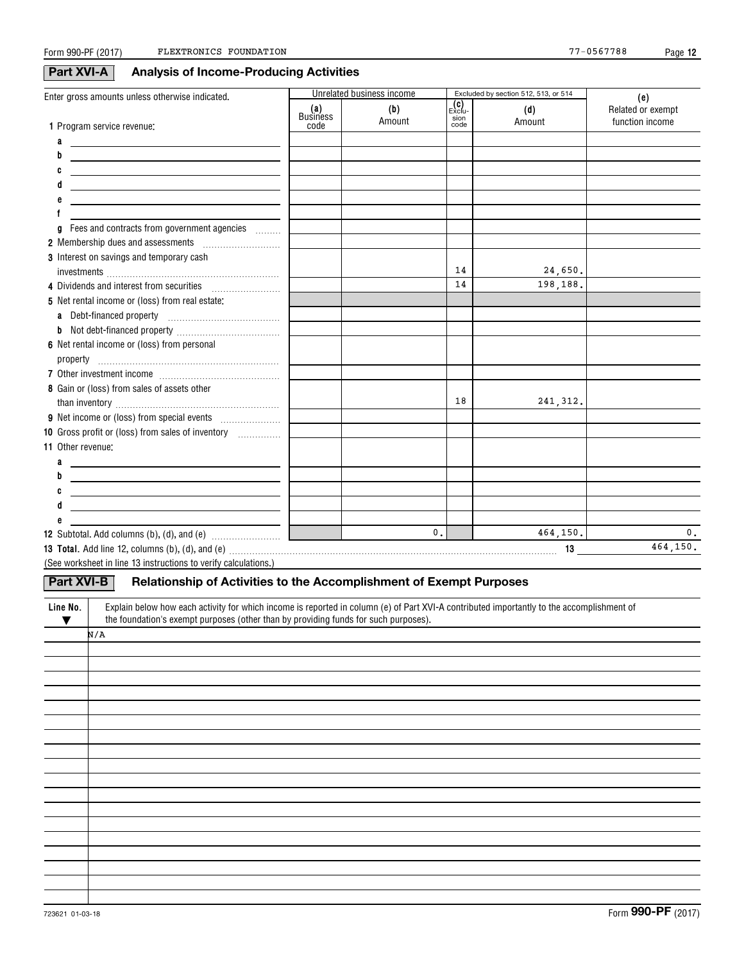**12**

## **Part XVI-A Analysis of Income-Producing Activities**

| Enter gross amounts unless otherwise indicated.                                                                                                                                                                                |                                                 | Unrelated business income |                                                                          | Excluded by section 512, 513, or 514 | (e)                                  |
|--------------------------------------------------------------------------------------------------------------------------------------------------------------------------------------------------------------------------------|-------------------------------------------------|---------------------------|--------------------------------------------------------------------------|--------------------------------------|--------------------------------------|
| 1 Program service revenue:                                                                                                                                                                                                     | (a)<br>Business<br>code                         | (b)<br>Amount             | $\begin{matrix} \text{(c)} \\ \text{Exclu} \end{matrix}$<br>sion<br>code | (d)<br>Amount                        | Related or exempt<br>function income |
|                                                                                                                                                                                                                                |                                                 |                           |                                                                          |                                      |                                      |
| a<br><u> Alban Alban (Alban Alban Alban Alban Alban Alban Alban Alban Alban Alban Alban Alban Alban Alban Alban Alban </u><br>b                                                                                                |                                                 |                           |                                                                          |                                      |                                      |
| <u> 1989 - Johann Barbara, martxa eta politikaria (h. 1908).</u>                                                                                                                                                               |                                                 |                           |                                                                          |                                      |                                      |
| <u> 1989 - Johann Barn, amerikansk politiker (d. 1989)</u>                                                                                                                                                                     |                                                 |                           |                                                                          |                                      |                                      |
| d<br><u> 1989 - Johann John Stone, markin fizikar (</u>                                                                                                                                                                        |                                                 |                           |                                                                          |                                      |                                      |
| <u> 1989 - Johann Barn, mars ann an t-Amhain ann an t-Amhain ann an t-Amhain ann an t-Amhain an t-Amhain ann an t-</u>                                                                                                         |                                                 |                           |                                                                          |                                      |                                      |
| Fees and contracts from government agencies                                                                                                                                                                                    |                                                 |                           |                                                                          |                                      |                                      |
|                                                                                                                                                                                                                                |                                                 |                           |                                                                          |                                      |                                      |
| 2 Membership dues and assessments [111] Membership dues and assessments                                                                                                                                                        |                                                 |                           |                                                                          |                                      |                                      |
| 3 Interest on savings and temporary cash                                                                                                                                                                                       |                                                 |                           | 14                                                                       | 24,650.                              |                                      |
|                                                                                                                                                                                                                                |                                                 |                           | 14                                                                       | 198,188.                             |                                      |
| 5 Net rental income or (loss) from real estate:                                                                                                                                                                                |                                                 |                           |                                                                          |                                      |                                      |
|                                                                                                                                                                                                                                |                                                 |                           |                                                                          |                                      |                                      |
| b                                                                                                                                                                                                                              |                                                 |                           |                                                                          |                                      |                                      |
| 6 Net rental income or (loss) from personal                                                                                                                                                                                    |                                                 |                           |                                                                          |                                      |                                      |
|                                                                                                                                                                                                                                |                                                 |                           |                                                                          |                                      |                                      |
|                                                                                                                                                                                                                                |                                                 |                           |                                                                          |                                      |                                      |
| 8 Gain or (loss) from sales of assets other                                                                                                                                                                                    |                                                 |                           |                                                                          |                                      |                                      |
|                                                                                                                                                                                                                                |                                                 |                           | 18                                                                       | 241, 312.                            |                                      |
|                                                                                                                                                                                                                                |                                                 |                           |                                                                          |                                      |                                      |
| 10 Gross profit or (loss) from sales of inventory                                                                                                                                                                              |                                                 |                           |                                                                          |                                      |                                      |
| 11 Other revenue:                                                                                                                                                                                                              |                                                 |                           |                                                                          |                                      |                                      |
| a                                                                                                                                                                                                                              |                                                 |                           |                                                                          |                                      |                                      |
| <u> Alexandria de la contrada de la contrada de la contrada de la contrada de la contrada de la contrada de la c</u><br><u> 1989 - Andrea Stadt Britain, fransk politik (d. 1989)</u>                                          |                                                 |                           |                                                                          |                                      |                                      |
| <u> 1989 - Johann Harry Harry Harry Harry Harry Harry Harry Harry Harry Harry Harry Harry Harry Harry Harry Harry</u>                                                                                                          |                                                 |                           |                                                                          |                                      |                                      |
| d<br><u> 2000 - Andrea Station Barbara, amerikan personal dan personal dan personal dan personal dan personal dan per</u>                                                                                                      |                                                 |                           |                                                                          |                                      |                                      |
|                                                                                                                                                                                                                                |                                                 |                           |                                                                          |                                      |                                      |
|                                                                                                                                                                                                                                | <u> 1999 - John Barnett, fransk politiker (</u> | 0.1                       |                                                                          | 464, 150.                            | 0.                                   |
| 13 Total. Add line 12, columns (b), (d), and (e) with an accordingle contained and according to the control of the control of the control of the control of the control of the control of the control of the control of the co |                                                 |                           |                                                                          |                                      | 464,150.                             |
| (See worksheet in line 13 instructions to verify calculations.)                                                                                                                                                                |                                                 |                           |                                                                          |                                      |                                      |
| Part XVI-B                                                                                                                                                                                                                     |                                                 |                           |                                                                          |                                      |                                      |
| Relationship of Activities to the Accomplishment of Exempt Purposes                                                                                                                                                            |                                                 |                           |                                                                          |                                      |                                      |
| Explain below how each activity for which income is reported in column (e) of Part XVI-A contributed importantly to the accomplishment of<br>Line No.                                                                          |                                                 |                           |                                                                          |                                      |                                      |

| <b>LING IVO.</b><br>▼ | Explain bolow now david against to which mounted to reported in column (c) or Farework continuated importantly to the accomptishment or<br>the foundation's exempt purposes (other than by providing funds for such purposes). |
|-----------------------|--------------------------------------------------------------------------------------------------------------------------------------------------------------------------------------------------------------------------------|
|                       | N/A                                                                                                                                                                                                                            |
|                       |                                                                                                                                                                                                                                |
|                       |                                                                                                                                                                                                                                |
|                       |                                                                                                                                                                                                                                |
|                       |                                                                                                                                                                                                                                |
|                       |                                                                                                                                                                                                                                |
|                       |                                                                                                                                                                                                                                |
|                       |                                                                                                                                                                                                                                |
|                       |                                                                                                                                                                                                                                |
|                       |                                                                                                                                                                                                                                |
|                       |                                                                                                                                                                                                                                |
|                       |                                                                                                                                                                                                                                |
|                       |                                                                                                                                                                                                                                |
|                       |                                                                                                                                                                                                                                |
|                       |                                                                                                                                                                                                                                |
|                       |                                                                                                                                                                                                                                |
|                       |                                                                                                                                                                                                                                |
|                       |                                                                                                                                                                                                                                |
|                       |                                                                                                                                                                                                                                |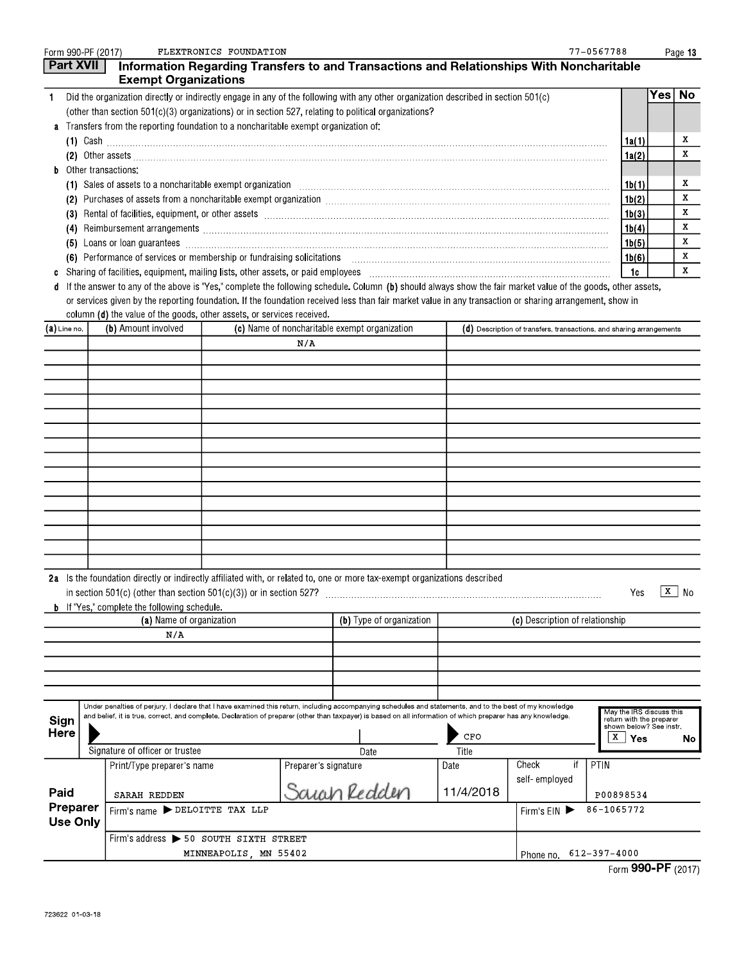| Form 990-PF (2017)                                        |  |                                                                                                                                 | FLEXTRONICS FOUNDATION |                      |                                                                                                                                                                                                                                                                                                                           |           |                                                                      | 77-0567788                                                                      |        | Page 13     |
|-----------------------------------------------------------|--|---------------------------------------------------------------------------------------------------------------------------------|------------------------|----------------------|---------------------------------------------------------------------------------------------------------------------------------------------------------------------------------------------------------------------------------------------------------------------------------------------------------------------------|-----------|----------------------------------------------------------------------|---------------------------------------------------------------------------------|--------|-------------|
| <b>Part XVII</b>                                          |  | <b>Exempt Organizations</b>                                                                                                     |                        |                      | Information Regarding Transfers to and Transactions and Relationships With Noncharitable                                                                                                                                                                                                                                  |           |                                                                      |                                                                                 |        |             |
| $\mathbf{1}$                                              |  |                                                                                                                                 |                        |                      | Did the organization directly or indirectly engage in any of the following with any other organization described in section 501(c)<br>(other than section 501(c)(3) organizations) or in section 527, relating to political organizations?                                                                                |           |                                                                      |                                                                                 | Yes No |             |
| a                                                         |  | Transfers from the reporting foundation to a noncharitable exempt organization of:                                              |                        |                      |                                                                                                                                                                                                                                                                                                                           |           |                                                                      |                                                                                 |        |             |
|                                                           |  |                                                                                                                                 |                        |                      | $(1)$ Cash $\ldots$                                                                                                                                                                                                                                                                                                       |           |                                                                      | 1a(1)                                                                           |        | x           |
|                                                           |  |                                                                                                                                 |                        |                      | (2) Other assets <b>construction and construction of the construction</b> of the construction of the construction of the construction of the construction of the construction of the construction of the construction of the constr                                                                                       |           |                                                                      | 1a(2)                                                                           |        | X           |
| b                                                         |  | Other transactions:                                                                                                             |                        |                      | (1) Sales of assets to a noncharitable exempt organization [1] [1] Sales of assemnment control or assets to a noncharitable exempt organization [1] [1] [1] Sales of assets to a noncharitable exempt organization [1] [1] [1]                                                                                            |           |                                                                      | 1b(1)                                                                           |        | x           |
|                                                           |  |                                                                                                                                 |                        |                      |                                                                                                                                                                                                                                                                                                                           |           |                                                                      | 1b(2)                                                                           |        | x           |
|                                                           |  |                                                                                                                                 |                        |                      | (3) Rental of facilities, equipment, or other assets [1] rentiliation material contents and resonance of facilities, equipment, or other assets                                                                                                                                                                           |           |                                                                      | 1b(3)                                                                           |        | x           |
|                                                           |  |                                                                                                                                 |                        |                      |                                                                                                                                                                                                                                                                                                                           |           |                                                                      | 1b(4)                                                                           |        | x           |
|                                                           |  |                                                                                                                                 |                        |                      |                                                                                                                                                                                                                                                                                                                           |           |                                                                      | 1b(5)                                                                           |        | X           |
|                                                           |  | (6) Performance of services or membership or fundraising solicitations                                                          |                        |                      |                                                                                                                                                                                                                                                                                                                           |           |                                                                      | 1b(6)                                                                           |        | x           |
| c                                                         |  |                                                                                                                                 |                        |                      |                                                                                                                                                                                                                                                                                                                           |           |                                                                      | 1c                                                                              |        | $\mathbf X$ |
| d                                                         |  | column (d) the value of the goods, other assets, or services received.                                                          |                        |                      | If the answer to any of the above is "Yes," complete the following schedule. Column (b) should always show the fair market value of the goods, other assets,<br>or services given by the reporting foundation. If the foundation received less than fair market value in any transaction or sharing arrangement, show in  |           |                                                                      |                                                                                 |        |             |
| $(a)$ Line no.                                            |  | (b) Amount involved                                                                                                             |                        |                      | (c) Name of noncharitable exempt organization                                                                                                                                                                                                                                                                             |           | (d) Description of transfers, transactions, and sharing arrangements |                                                                                 |        |             |
|                                                           |  |                                                                                                                                 |                        | N/A                  |                                                                                                                                                                                                                                                                                                                           |           |                                                                      |                                                                                 |        |             |
|                                                           |  |                                                                                                                                 |                        |                      |                                                                                                                                                                                                                                                                                                                           |           |                                                                      |                                                                                 |        |             |
|                                                           |  |                                                                                                                                 |                        |                      |                                                                                                                                                                                                                                                                                                                           |           |                                                                      |                                                                                 |        |             |
|                                                           |  |                                                                                                                                 |                        |                      |                                                                                                                                                                                                                                                                                                                           |           |                                                                      |                                                                                 |        |             |
|                                                           |  |                                                                                                                                 |                        |                      |                                                                                                                                                                                                                                                                                                                           |           |                                                                      |                                                                                 |        |             |
|                                                           |  |                                                                                                                                 |                        |                      |                                                                                                                                                                                                                                                                                                                           |           |                                                                      |                                                                                 |        |             |
|                                                           |  |                                                                                                                                 |                        |                      |                                                                                                                                                                                                                                                                                                                           |           |                                                                      |                                                                                 |        |             |
|                                                           |  |                                                                                                                                 |                        |                      |                                                                                                                                                                                                                                                                                                                           |           |                                                                      |                                                                                 |        |             |
|                                                           |  |                                                                                                                                 |                        |                      |                                                                                                                                                                                                                                                                                                                           |           |                                                                      |                                                                                 |        |             |
|                                                           |  |                                                                                                                                 |                        |                      |                                                                                                                                                                                                                                                                                                                           |           |                                                                      |                                                                                 |        |             |
|                                                           |  |                                                                                                                                 |                        |                      |                                                                                                                                                                                                                                                                                                                           |           |                                                                      |                                                                                 |        |             |
|                                                           |  |                                                                                                                                 |                        |                      |                                                                                                                                                                                                                                                                                                                           |           |                                                                      |                                                                                 |        |             |
|                                                           |  |                                                                                                                                 |                        |                      |                                                                                                                                                                                                                                                                                                                           |           |                                                                      |                                                                                 |        |             |
|                                                           |  |                                                                                                                                 |                        |                      |                                                                                                                                                                                                                                                                                                                           |           |                                                                      |                                                                                 |        |             |
|                                                           |  | in section $501(c)$ (other than section $501(c)(3)$ ) or in section 527?<br><b>b</b> If "Yes," complete the following schedule. |                        |                      | 2a Is the foundation directly or indirectly affiliated with, or related to, one or more tax-exempt organizations described                                                                                                                                                                                                |           |                                                                      | Yes                                                                             | x      | No          |
|                                                           |  | (a) Name of organization                                                                                                        |                        |                      | (b) Type of organization                                                                                                                                                                                                                                                                                                  |           | (c) Description of relationship                                      |                                                                                 |        |             |
|                                                           |  | N/A                                                                                                                             |                        |                      |                                                                                                                                                                                                                                                                                                                           |           |                                                                      |                                                                                 |        |             |
|                                                           |  |                                                                                                                                 |                        |                      |                                                                                                                                                                                                                                                                                                                           |           |                                                                      |                                                                                 |        |             |
|                                                           |  |                                                                                                                                 |                        |                      |                                                                                                                                                                                                                                                                                                                           |           |                                                                      |                                                                                 |        |             |
|                                                           |  |                                                                                                                                 |                        |                      |                                                                                                                                                                                                                                                                                                                           |           |                                                                      |                                                                                 |        |             |
| Sign<br>Here                                              |  |                                                                                                                                 |                        |                      | Under penalties of perjury, I declare that I have examined this return, including accompanying schedules and statements, and to the best of my knowledge<br>and belief, it is true, correct, and complete. Declaration of preparer (other than taxpayer) is based on all information of which preparer has any knowledge. | CFO       |                                                                      | May the IRS discuss this<br>return with the preparer<br>shown below? See instr. |        |             |
|                                                           |  | Signature of officer or trustee                                                                                                 |                        |                      | Date                                                                                                                                                                                                                                                                                                                      | Title     |                                                                      | x  <br>Yes                                                                      |        | No          |
|                                                           |  | Print/Type preparer's name                                                                                                      |                        | Preparer's signature |                                                                                                                                                                                                                                                                                                                           | Date      | Check<br>if                                                          | PTIN                                                                            |        |             |
|                                                           |  |                                                                                                                                 |                        |                      |                                                                                                                                                                                                                                                                                                                           |           | self-employed                                                        |                                                                                 |        |             |
| Paid                                                      |  | <b>SARAH REDDEN</b>                                                                                                             |                        |                      | Sarah Redden                                                                                                                                                                                                                                                                                                              | 11/4/2018 |                                                                      | P00898534                                                                       |        |             |
| Preparer                                                  |  | Firm's name DELOITTE TAX LLP                                                                                                    |                        |                      |                                                                                                                                                                                                                                                                                                                           |           | Firm's $EIN$                                                         | 86-1065772                                                                      |        |             |
| <b>Use Only</b><br>Firm's address > 50 SOUTH SIXTH STREET |  |                                                                                                                                 |                        |                      |                                                                                                                                                                                                                                                                                                                           |           |                                                                      |                                                                                 |        |             |

| $\sim$ 000 DE $\sim$  |  |
|-----------------------|--|
| Phone no 612-397-4000 |  |

Form 990-PF (2017)

MINNEAPOLIS, MN 55402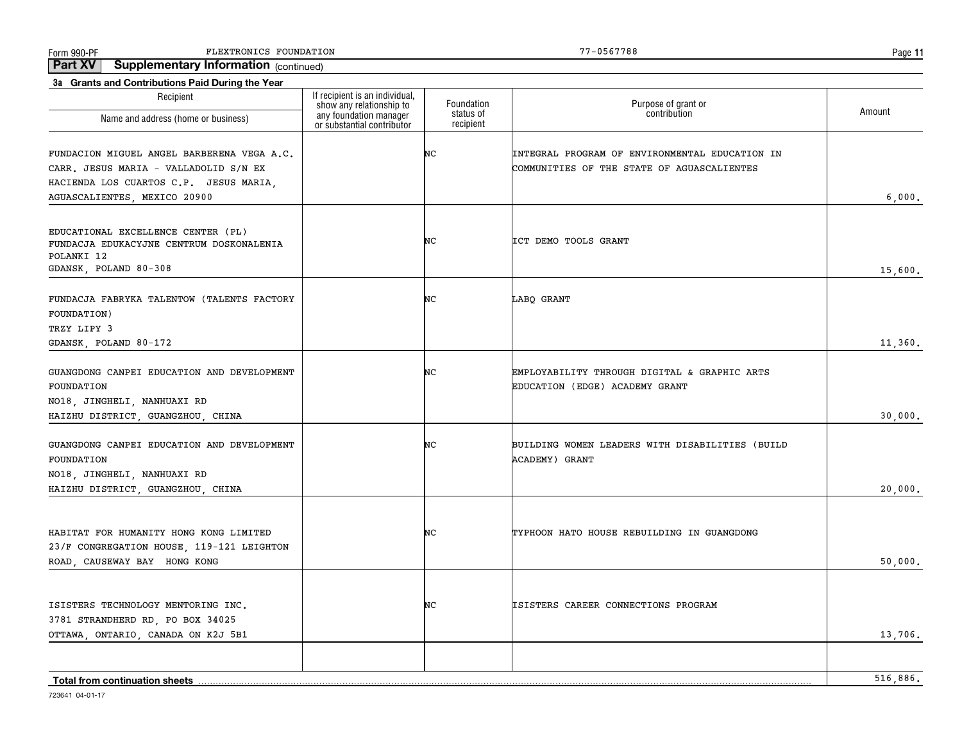Form 990-PF Page FLEXTRONICS FOUNDATION 77-0567788

**Part XV Supplementary Information** (continued)

| Purpose of grant or<br>contribution<br>Amount<br>any foundation manager<br>status of<br>Name and address (home or business)<br>recipient<br>or substantial contributor<br>NC<br>INTEGRAL PROGRAM OF ENVIRONMENTAL EDUCATION IN<br>CARR. JESUS MARIA - VALLADOLID S/N EX<br>COMMUNITIES OF THE STATE OF AGUASCALIENTES<br>HACIENDA LOS CUARTOS C.P. JESUS MARIA,<br>6.000.<br>EDUCATIONAL EXCELLENCE CENTER (PL)<br>NC<br>ICT DEMO TOOLS GRANT<br>FUNDACJA EDUKACYJNE CENTRUM DOSKONALENIA<br>POLANKI 12<br>GDANSK, POLAND 80-308<br>15,600.<br>NC<br>LABQ GRANT<br>TRZY LIPY 3<br>11,360.<br>NC<br>EMPLOYABILITY THROUGH DIGITAL & GRAPHIC ARTS<br>EDUCATION (EDGE) ACADEMY GRANT<br>30,000.<br>NC<br>BUILDING WOMEN LEADERS WITH DISABILITIES (BUILD<br><b>ACADEMY) GRANT</b><br>20,000.<br>NC<br>TYPHOON HATO HOUSE REBUILDING IN GUANGDONG<br>23/F CONGREGATION HOUSE, 119-121 LEIGHTON<br>ROAD, CAUSEWAY BAY HONG KONG<br>50,000.<br>ISISTERS CAREER CONNECTIONS PROGRAM<br>NC<br>3781 STRANDHERD RD, PO BOX 34025<br>13,706.<br>OTTAWA, ONTARIO, CANADA ON K2J 5B1<br>516,886.<br><b>Total from continuation sheets</b> | Recipient                                                                               | If recipient is an individual,<br>show any relationship to | Foundation |  |
|------------------------------------------------------------------------------------------------------------------------------------------------------------------------------------------------------------------------------------------------------------------------------------------------------------------------------------------------------------------------------------------------------------------------------------------------------------------------------------------------------------------------------------------------------------------------------------------------------------------------------------------------------------------------------------------------------------------------------------------------------------------------------------------------------------------------------------------------------------------------------------------------------------------------------------------------------------------------------------------------------------------------------------------------------------------------------------------------------------------------------|-----------------------------------------------------------------------------------------|------------------------------------------------------------|------------|--|
|                                                                                                                                                                                                                                                                                                                                                                                                                                                                                                                                                                                                                                                                                                                                                                                                                                                                                                                                                                                                                                                                                                                              |                                                                                         |                                                            |            |  |
|                                                                                                                                                                                                                                                                                                                                                                                                                                                                                                                                                                                                                                                                                                                                                                                                                                                                                                                                                                                                                                                                                                                              | FUNDACION MIGUEL ANGEL BARBERENA VEGA A.C.                                              |                                                            |            |  |
|                                                                                                                                                                                                                                                                                                                                                                                                                                                                                                                                                                                                                                                                                                                                                                                                                                                                                                                                                                                                                                                                                                                              | AGUASCALIENTES, MEXICO 20900                                                            |                                                            |            |  |
|                                                                                                                                                                                                                                                                                                                                                                                                                                                                                                                                                                                                                                                                                                                                                                                                                                                                                                                                                                                                                                                                                                                              |                                                                                         |                                                            |            |  |
|                                                                                                                                                                                                                                                                                                                                                                                                                                                                                                                                                                                                                                                                                                                                                                                                                                                                                                                                                                                                                                                                                                                              | FUNDACJA FABRYKA TALENTOW (TALENTS FACTORY<br>FOUNDATION)                               |                                                            |            |  |
|                                                                                                                                                                                                                                                                                                                                                                                                                                                                                                                                                                                                                                                                                                                                                                                                                                                                                                                                                                                                                                                                                                                              | GDANSK, POLAND 80-172                                                                   |                                                            |            |  |
|                                                                                                                                                                                                                                                                                                                                                                                                                                                                                                                                                                                                                                                                                                                                                                                                                                                                                                                                                                                                                                                                                                                              | GUANGDONG CANPEI EDUCATION AND DEVELOPMENT<br>FOUNDATION<br>NO18, JINGHELI, NANHUAXI RD |                                                            |            |  |
|                                                                                                                                                                                                                                                                                                                                                                                                                                                                                                                                                                                                                                                                                                                                                                                                                                                                                                                                                                                                                                                                                                                              | HAIZHU DISTRICT, GUANGZHOU, CHINA                                                       |                                                            |            |  |
|                                                                                                                                                                                                                                                                                                                                                                                                                                                                                                                                                                                                                                                                                                                                                                                                                                                                                                                                                                                                                                                                                                                              | GUANGDONG CANPEI EDUCATION AND DEVELOPMENT<br>FOUNDATION<br>NO18, JINGHELI, NANHUAXI RD |                                                            |            |  |
|                                                                                                                                                                                                                                                                                                                                                                                                                                                                                                                                                                                                                                                                                                                                                                                                                                                                                                                                                                                                                                                                                                                              | HAIZHU DISTRICT, GUANGZHOU, CHINA                                                       |                                                            |            |  |
|                                                                                                                                                                                                                                                                                                                                                                                                                                                                                                                                                                                                                                                                                                                                                                                                                                                                                                                                                                                                                                                                                                                              | HABITAT FOR HUMANITY HONG KONG LIMITED                                                  |                                                            |            |  |
|                                                                                                                                                                                                                                                                                                                                                                                                                                                                                                                                                                                                                                                                                                                                                                                                                                                                                                                                                                                                                                                                                                                              |                                                                                         |                                                            |            |  |
|                                                                                                                                                                                                                                                                                                                                                                                                                                                                                                                                                                                                                                                                                                                                                                                                                                                                                                                                                                                                                                                                                                                              | ISISTERS TECHNOLOGY MENTORING INC.                                                      |                                                            |            |  |
|                                                                                                                                                                                                                                                                                                                                                                                                                                                                                                                                                                                                                                                                                                                                                                                                                                                                                                                                                                                                                                                                                                                              |                                                                                         |                                                            |            |  |
|                                                                                                                                                                                                                                                                                                                                                                                                                                                                                                                                                                                                                                                                                                                                                                                                                                                                                                                                                                                                                                                                                                                              |                                                                                         |                                                            |            |  |

**11**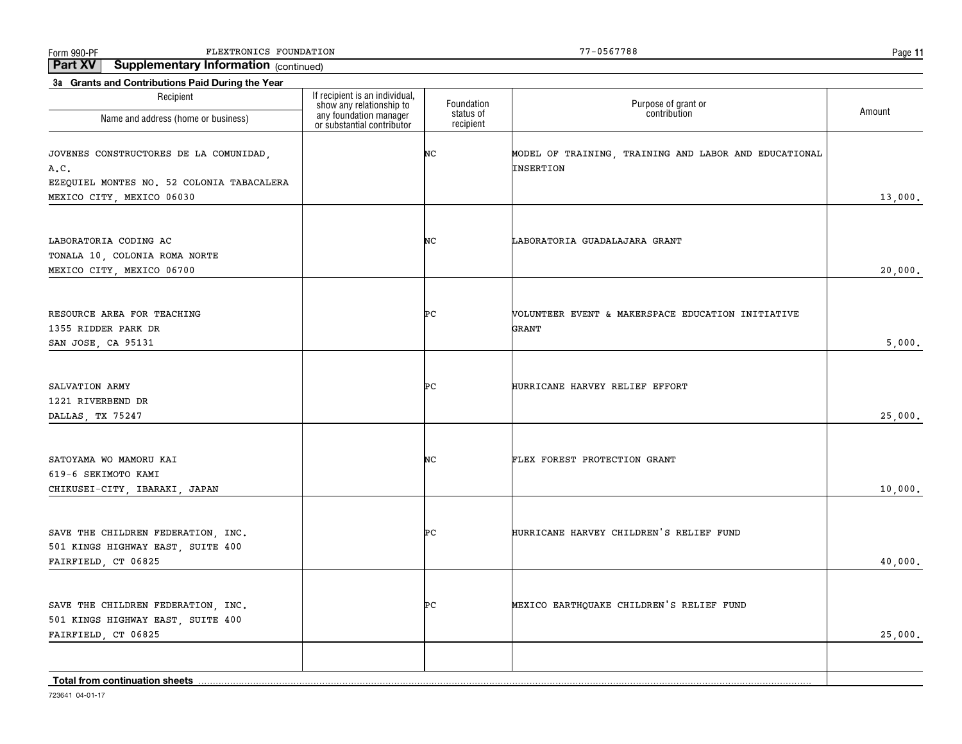Form 990-PF Page FLEXTRONICS FOUNDATION 77-0567788

**Part XV Supplementary Information** (continued)

| 3a Grants and Contributions Paid During the Year<br>Recipient                                  | If recipient is an individual,                                                   |                                      |                                                                    |         |
|------------------------------------------------------------------------------------------------|----------------------------------------------------------------------------------|--------------------------------------|--------------------------------------------------------------------|---------|
| Name and address (home or business)                                                            | show any relationship to<br>any foundation manager<br>or substantial contributor | Foundation<br>status of<br>recipient | Purpose of grant or<br>contribution                                | Amount  |
| JOVENES CONSTRUCTORES DE LA COMUNIDAD,<br>A.C.                                                 |                                                                                  | NC                                   | MODEL OF TRAINING, TRAINING AND LABOR AND EDUCATIONAL<br>INSERTION |         |
| EZEQUIEL MONTES NO. 52 COLONIA TABACALERA<br>MEXICO CITY, MEXICO 06030                         |                                                                                  |                                      |                                                                    | 13,000. |
| LABORATORIA CODING AC<br>TONALA 10, COLONIA ROMA NORTE                                         |                                                                                  | NС                                   | LABORATORIA GUADALAJARA GRANT                                      |         |
| MEXICO CITY, MEXICO 06700                                                                      |                                                                                  |                                      |                                                                    | 20,000. |
| RESOURCE AREA FOR TEACHING<br>1355 RIDDER PARK DR                                              |                                                                                  | ÞС                                   | VOLUNTEER EVENT & MAKERSPACE EDUCATION INITIATIVE<br>GRANT         |         |
| SAN JOSE, CA 95131                                                                             |                                                                                  |                                      |                                                                    | 5,000.  |
| SALVATION ARMY<br>1221 RIVERBEND DR                                                            |                                                                                  | ÞС                                   | HURRICANE HARVEY RELIEF EFFORT                                     | 25,000. |
| DALLAS, TX 75247                                                                               |                                                                                  |                                      |                                                                    |         |
| SATOYAMA WO MAMORU KAI<br>619-6 SEKIMOTO KAMI<br>CHIKUSEI-CITY, IBARAKI, JAPAN                 |                                                                                  | NC                                   | FLEX FOREST PROTECTION GRANT                                       | 10,000. |
|                                                                                                |                                                                                  |                                      |                                                                    |         |
| SAVE THE CHILDREN FEDERATION, INC.<br>501 KINGS HIGHWAY EAST, SUITE 400<br>FAIRFIELD, CT 06825 |                                                                                  | ÞС                                   | HURRICANE HARVEY CHILDREN'S RELIEF FUND                            | 40,000. |
|                                                                                                |                                                                                  |                                      |                                                                    |         |
| SAVE THE CHILDREN FEDERATION, INC.<br>501 KINGS HIGHWAY EAST, SUITE 400                        |                                                                                  | PС                                   | MEXICO EARTHQUAKE CHILDREN'S RELIEF FUND                           |         |
| FAIRFIELD, CT 06825                                                                            |                                                                                  |                                      |                                                                    | 25,000. |
| Total from continuation sheets                                                                 |                                                                                  |                                      |                                                                    |         |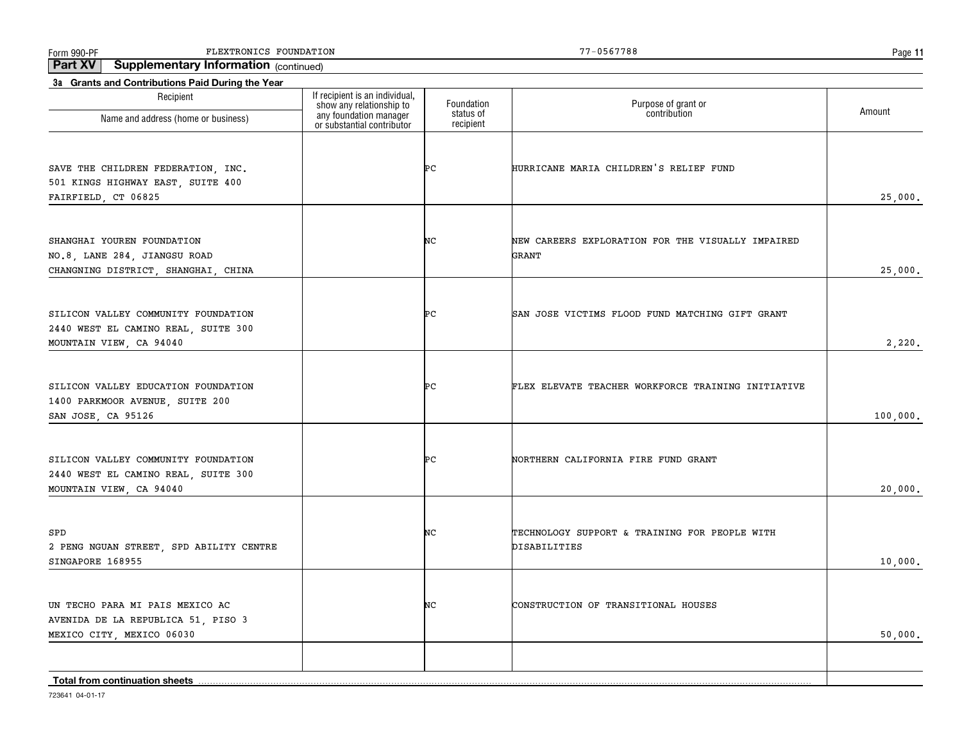Form 990-PF Page FLEXTRONICS FOUNDATION 77-0567788

**Part XV Supplementary Information** (continued)

| Recipient                                                                                             |                                                                                                                    | Foundation             | Purpose of grant or<br>contribution                           |          |
|-------------------------------------------------------------------------------------------------------|--------------------------------------------------------------------------------------------------------------------|------------------------|---------------------------------------------------------------|----------|
| Name and address (home or business)                                                                   | If recipient is an individual,<br>show any relationship to<br>any foundation manager<br>or substantial contributor | status of<br>recipient |                                                               | Amount   |
| SAVE THE CHILDREN FEDERATION, INC.<br>501 KINGS HIGHWAY EAST, SUITE 400<br>FAIRFIELD, CT 06825        |                                                                                                                    | ÞС                     | HURRICANE MARIA CHILDREN'S RELIEF FUND                        | 25,000.  |
| SHANGHAI YOUREN FOUNDATION<br>NO.8, LANE 284, JIANGSU ROAD<br>CHANGNING DISTRICT, SHANGHAI, CHINA     |                                                                                                                    | NC                     | NEW CAREERS EXPLORATION FOR THE VISUALLY IMPAIRED<br>GRANT    | 25,000.  |
| SILICON VALLEY COMMUNITY FOUNDATION<br>2440 WEST EL CAMINO REAL, SUITE 300<br>MOUNTAIN VIEW, CA 94040 |                                                                                                                    | ÞС                     | SAN JOSE VICTIMS FLOOD FUND MATCHING GIFT GRANT               | 2,220.   |
| SILICON VALLEY EDUCATION FOUNDATION<br>1400 PARKMOOR AVENUE, SUITE 200<br>SAN JOSE, CA 95126          |                                                                                                                    | ÞС                     | FLEX ELEVATE TEACHER WORKFORCE TRAINING INITIATIVE            | 100,000. |
| SILICON VALLEY COMMUNITY FOUNDATION<br>2440 WEST EL CAMINO REAL, SUITE 300<br>MOUNTAIN VIEW, CA 94040 |                                                                                                                    | ÞС                     | NORTHERN CALIFORNIA FIRE FUND GRANT                           | 20,000.  |
| SPD<br>2 PENG NGUAN STREET, SPD ABILITY CENTRE<br>SINGAPORE 168955                                    |                                                                                                                    | NС                     | TECHNOLOGY SUPPORT & TRAINING FOR PEOPLE WITH<br>DISABILITIES | 10,000.  |
| UN TECHO PARA MI PAIS MEXICO AC<br>AVENIDA DE LA REPUBLICA 51, PISO 3<br>MEXICO CITY, MEXICO 06030    |                                                                                                                    | NC                     | CONSTRUCTION OF TRANSITIONAL HOUSES                           | 50,000.  |
| <b>Total from continuation sheets</b>                                                                 |                                                                                                                    |                        |                                                               |          |

**11**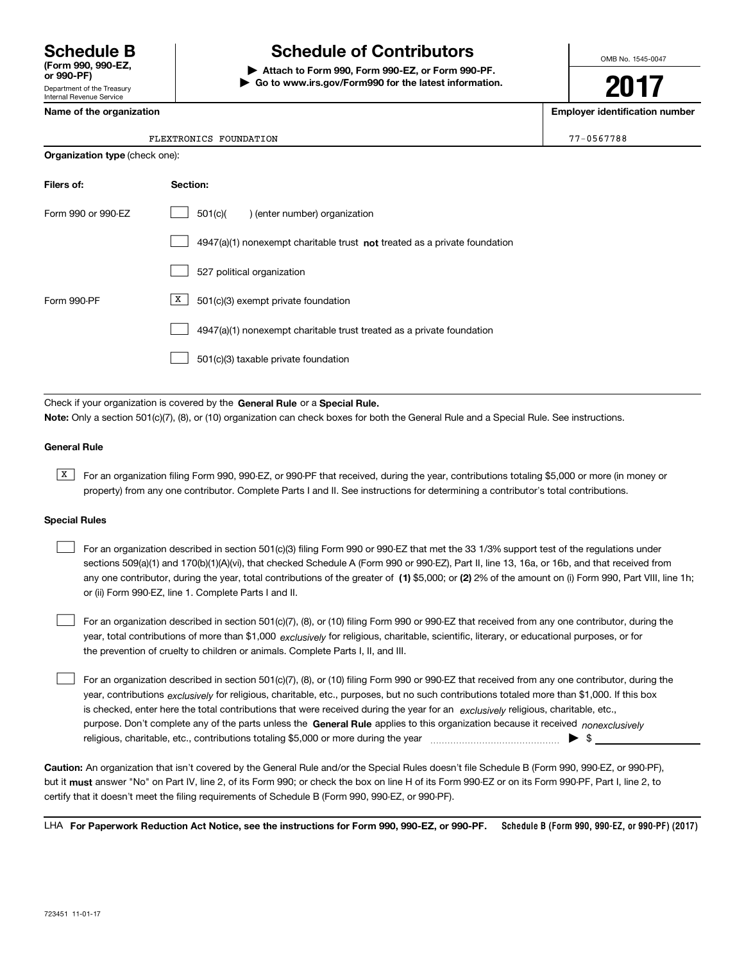Department of the Treasury Internal Revenue Service

## **Schedule B Schedule of Contributors**

**| Attach to Form 990, Form 990-EZ, or Form 990-PF. | Go to www.irs.gov/Form990 for the latest information.** OMB No. 1545-0047

**2017**

**Name of the organization Employer identification number**

|  | 05677 |  |  | ۶ |
|--|-------|--|--|---|

**Organization type** (check one):

| FLEXTRONICS<br>FOUNDATION | $\blacksquare$ math><br>,,<br>. N 5 F<br>ാറ<br>.n.c<br>$\overline{\phantom{a}}$ |
|---------------------------|---------------------------------------------------------------------------------|
|---------------------------|---------------------------------------------------------------------------------|

| Filers of:         | Section:                                                                    |
|--------------------|-----------------------------------------------------------------------------|
| Form 990 or 990-FZ | 501(c)(<br>) (enter number) organization                                    |
|                    | $4947(a)(1)$ nonexempt charitable trust not treated as a private foundation |
|                    | 527 political organization                                                  |
| Form 990-PF        | X<br>501(c)(3) exempt private foundation                                    |
|                    | 4947(a)(1) nonexempt charitable trust treated as a private foundation       |
|                    | 501(c)(3) taxable private foundation                                        |

Check if your organization is covered by the **General Rule** or a **Special Rule. Note:**  Only a section 501(c)(7), (8), or (10) organization can check boxes for both the General Rule and a Special Rule. See instructions.

#### **General Rule**

 $\overline{X}$  For an organization filing Form 990, 990-EZ, or 990-PF that received, during the year, contributions totaling \$5,000 or more (in money or property) from any one contributor. Complete Parts I and II. See instructions for determining a contributor's total contributions.

#### **Special Rules**

 $\mathcal{L}^{\text{max}}$ 

| For an organization described in section 501(c)(3) filing Form 990 or 990-EZ that met the 33 1/3% support test of the regulations under               |
|-------------------------------------------------------------------------------------------------------------------------------------------------------|
| sections 509(a)(1) and 170(b)(1)(A)(vi), that checked Schedule A (Form 990 or 990-EZ), Part II, line 13, 16a, or 16b, and that received from          |
| any one contributor, during the year, total contributions of the greater of (1) \$5,000; or (2) 2% of the amount on (i) Form 990, Part VIII, line 1h; |
| or (ii) Form 990-EZ, line 1. Complete Parts I and II.                                                                                                 |

year, total contributions of more than \$1,000 *exclusively* for religious, charitable, scientific, literary, or educational purposes, or for For an organization described in section 501(c)(7), (8), or (10) filing Form 990 or 990-EZ that received from any one contributor, during the the prevention of cruelty to children or animals. Complete Parts I, II, and III.

purpose. Don't complete any of the parts unless the **General Rule** applies to this organization because it received *nonexclusively* year, contributions <sub>exclusively</sub> for religious, charitable, etc., purposes, but no such contributions totaled more than \$1,000. If this box is checked, enter here the total contributions that were received during the year for an  $\;$ exclusively religious, charitable, etc., For an organization described in section 501(c)(7), (8), or (10) filing Form 990 or 990-EZ that received from any one contributor, during the religious, charitable, etc., contributions totaling \$5,000 or more during the year  $\ldots$  $\ldots$  $\ldots$  $\ldots$  $\ldots$  $\ldots$ 

**Caution:**  An organization that isn't covered by the General Rule and/or the Special Rules doesn't file Schedule B (Form 990, 990-EZ, or 990-PF),  **must** but it answer "No" on Part IV, line 2, of its Form 990; or check the box on line H of its Form 990-EZ or on its Form 990-PF, Part I, line 2, to certify that it doesn't meet the filing requirements of Schedule B (Form 990, 990-EZ, or 990-PF).

**Schedule B (Form 990, 990-EZ, or 990-PF) (2017) For Paperwork Reduction Act Notice, see the instructions for Form 990, 990-EZ, or 990-PF.** LHA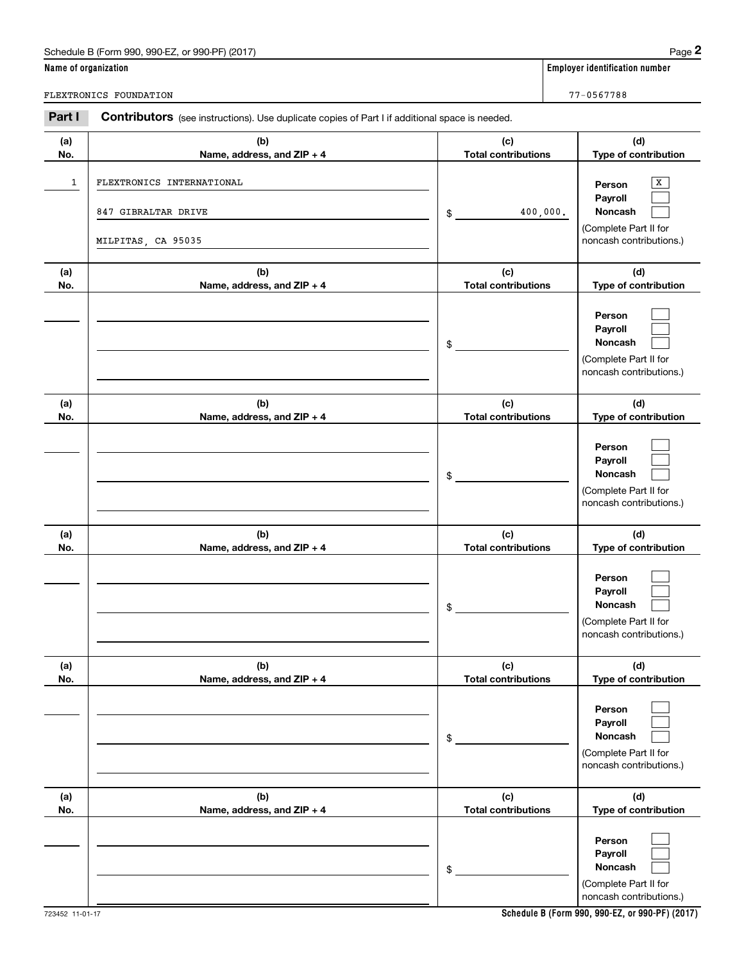| Schedule B (Form 990, 990-EZ, or 990-PF) (2017) | Page |
|-------------------------------------------------|------|
|-------------------------------------------------|------|

|                      | Schedule B (Form 990, 990-EZ, or 990-PF) (2017)                                                       |                                   | Page 2                                                                                            |
|----------------------|-------------------------------------------------------------------------------------------------------|-----------------------------------|---------------------------------------------------------------------------------------------------|
| Name of organization |                                                                                                       |                                   | <b>Employer identification number</b>                                                             |
|                      | FLEXTRONICS FOUNDATION                                                                                |                                   | 77-0567788                                                                                        |
| Part I               | <b>Contributors</b> (see instructions). Use duplicate copies of Part I if additional space is needed. |                                   |                                                                                                   |
| (a)<br>No.           | (b)<br>Name, address, and ZIP + 4                                                                     | (c)<br><b>Total contributions</b> | (d)<br>Type of contribution                                                                       |
| 1                    | FLEXTRONICS INTERNATIONAL<br>847 GIBRALTAR DRIVE<br>MILPITAS, CA 95035                                | \$                                | х<br>Person<br>Payroll<br>Noncash<br>400,000.<br>(Complete Part II for<br>noncash contributions.) |
| (a)<br>No.           | (b)<br>Name, address, and ZIP + 4                                                                     | (c)<br><b>Total contributions</b> | (d)<br>Type of contribution                                                                       |
|                      |                                                                                                       | \$                                | Person<br>Payroll<br>Noncash<br>(Complete Part II for<br>noncash contributions.)                  |
| (a)<br>No.           | (b)<br>Name, address, and ZIP + 4                                                                     | (c)<br><b>Total contributions</b> | (d)<br>Type of contribution                                                                       |
|                      |                                                                                                       | \$                                | Person<br>Payroll<br>Noncash<br>(Complete Part II for<br>noncash contributions.)                  |
| (a)<br>No.           | (b)<br>Name, address, and ZIP + 4                                                                     | (c)<br><b>Total contributions</b> | (d)<br>Type of contribution                                                                       |
|                      |                                                                                                       | \$                                | Person<br>Payroll<br>Noncash<br>(Complete Part II for<br>noncash contributions.)                  |
| (a)<br>No.           | (b)<br>Name, address, and ZIP + 4                                                                     | (c)<br><b>Total contributions</b> | (d)<br>Type of contribution                                                                       |
|                      |                                                                                                       | \$                                | Person<br>Payroll<br>Noncash<br>(Complete Part II for<br>noncash contributions.)                  |
| (a)<br>No.           | (b)<br>Name, address, and ZIP + 4                                                                     | (c)<br><b>Total contributions</b> | (d)<br>Type of contribution                                                                       |
|                      |                                                                                                       | \$                                | Person<br>Payroll<br>Noncash<br>(Complete Part II for<br>noncash contributions.)                  |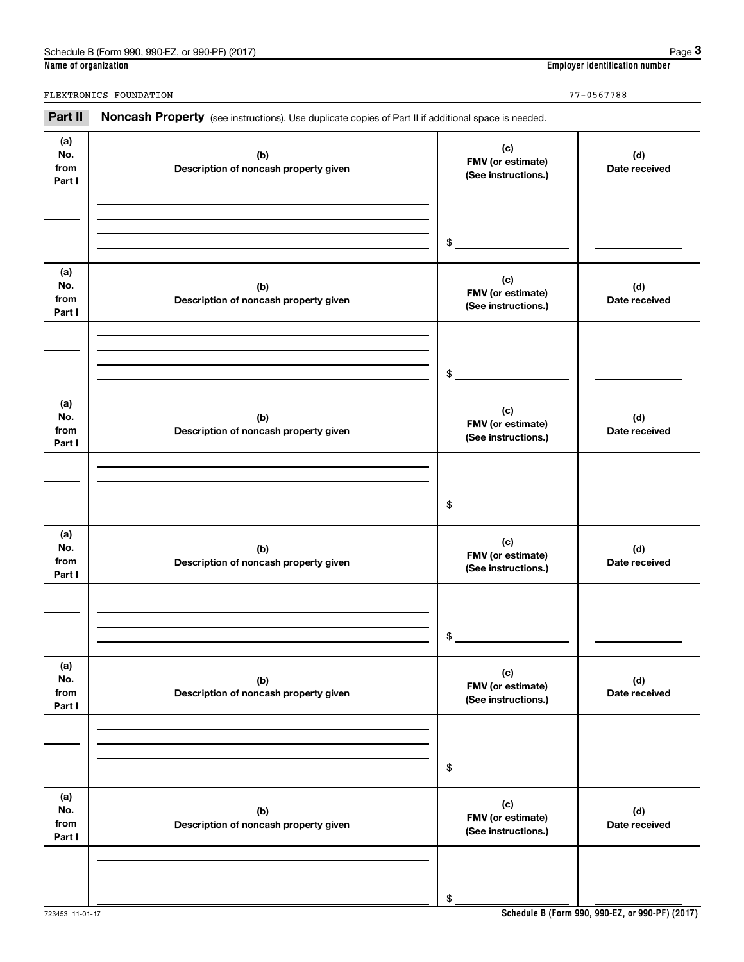| Schedule<br>(2017<br>990-EZ<br>or 990-PF)<br>990<br>.corm<br>◡◡ | Page                                     |
|-----------------------------------------------------------------|------------------------------------------|
| Name of organization                                            | .<br>r identification number<br>Emplover |

|                              | Schedule B (Form 990, 990-EZ, or 990-PF) (2017)                                                     |                                                 | Page 3                         |                                          |  |
|------------------------------|-----------------------------------------------------------------------------------------------------|-------------------------------------------------|--------------------------------|------------------------------------------|--|
| Name of organization         |                                                                                                     |                                                 | Employer identification number |                                          |  |
|                              | FLEXTRONICS FOUNDATION                                                                              |                                                 | 77-0567788                     |                                          |  |
| Part II                      | Noncash Property (see instructions). Use duplicate copies of Part II if additional space is needed. |                                                 |                                |                                          |  |
| (a)<br>No.<br>from<br>Part I | (b)<br>Description of noncash property given                                                        | (c)                                             |                                | FMV (or estimate)<br>(See instructions.) |  |
|                              |                                                                                                     | \$                                              |                                |                                          |  |
| (a)<br>No.<br>from<br>Part I | (b)<br>Description of noncash property given                                                        | (c)<br>FMV (or estimate)<br>(See instructions.) | (d)<br>Date received           |                                          |  |
|                              |                                                                                                     | \$                                              |                                |                                          |  |
| (a)<br>No.<br>from<br>Part I | (b)<br>Description of noncash property given                                                        | (c)<br>FMV (or estimate)<br>(See instructions.) | (d)<br>Date received           |                                          |  |
|                              |                                                                                                     | \$                                              |                                |                                          |  |
| (a)<br>No.<br>from<br>Part I | (b)<br>Description of noncash property given                                                        | (c)<br>FMV (or estimate)<br>(See instructions.) | (d)<br>Date received           |                                          |  |
|                              |                                                                                                     | \$                                              |                                |                                          |  |
| (a)<br>No.<br>from<br>Part I | (b)<br>Description of noncash property given                                                        | (c)<br>FMV (or estimate)<br>(See instructions.) | (d)<br>Date received           |                                          |  |
|                              |                                                                                                     | \$                                              |                                |                                          |  |
| (a)<br>No.<br>from<br>Part I | (b)<br>Description of noncash property given                                                        | (c)<br>FMV (or estimate)<br>(See instructions.) | (d)<br>Date received           |                                          |  |
|                              |                                                                                                     |                                                 |                                |                                          |  |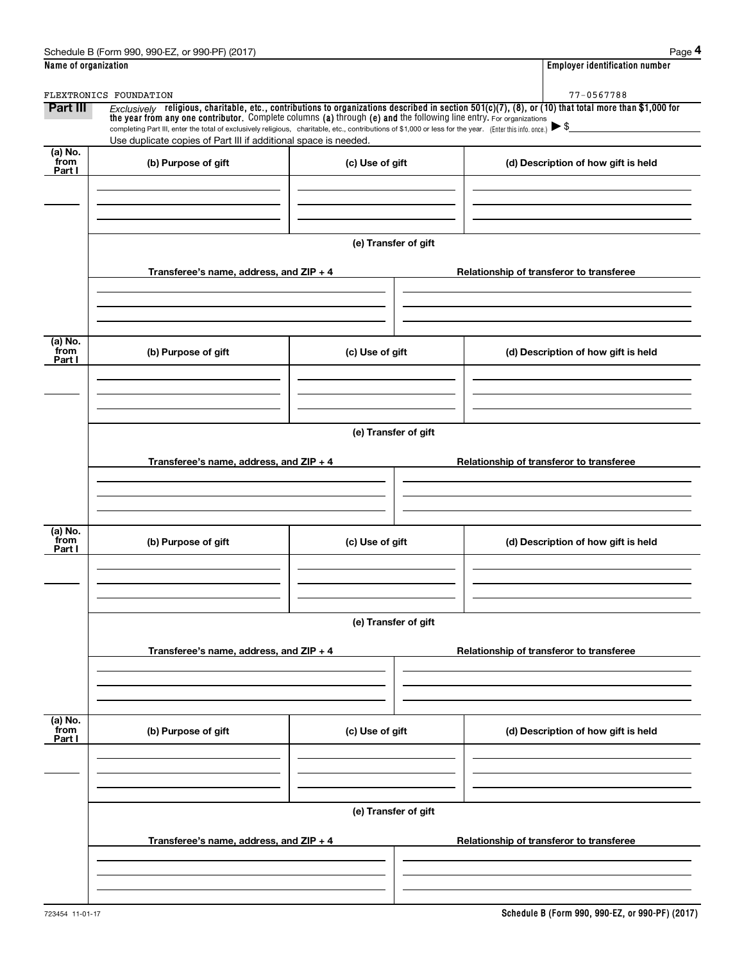|                           | Schedule B (Form 990, 990-EZ, or 990-PF) (2017)                                                                                                                                                                                                                                                     |                      | Page 4                                                                                                                                                   |
|---------------------------|-----------------------------------------------------------------------------------------------------------------------------------------------------------------------------------------------------------------------------------------------------------------------------------------------------|----------------------|----------------------------------------------------------------------------------------------------------------------------------------------------------|
| Name of organization      |                                                                                                                                                                                                                                                                                                     |                      | <b>Employer identification number</b>                                                                                                                    |
|                           | FLEXTRONICS FOUNDATION                                                                                                                                                                                                                                                                              |                      | $77 - 0567788$                                                                                                                                           |
| <b>Part III</b>           | the year from any one contributor. Complete columns (a) through (e) and the following line entry. For organizations<br>completing Part III, enter the total of exclusively religious, charitable, etc., contributions of \$1,000 or less for the year. (Enter this info. once.) $\triangleright$ \$ |                      | Exclusively religious, charitable, etc., contributions to organizations described in section $501(c)(7)$ , (8), or (10) that total more than \$1,000 for |
|                           | Use duplicate copies of Part III if additional space is needed.                                                                                                                                                                                                                                     |                      |                                                                                                                                                          |
| (a) No.<br>from<br>Part I | (b) Purpose of gift                                                                                                                                                                                                                                                                                 | (c) Use of gift      | (d) Description of how gift is held                                                                                                                      |
|                           |                                                                                                                                                                                                                                                                                                     |                      |                                                                                                                                                          |
|                           |                                                                                                                                                                                                                                                                                                     | (e) Transfer of gift |                                                                                                                                                          |
|                           | Transferee's name, address, and ZIP + 4                                                                                                                                                                                                                                                             |                      | Relationship of transferor to transferee                                                                                                                 |
|                           |                                                                                                                                                                                                                                                                                                     |                      |                                                                                                                                                          |
| (a) No.<br>from           | (b) Purpose of gift                                                                                                                                                                                                                                                                                 | (c) Use of gift      | (d) Description of how gift is held                                                                                                                      |
| Part I                    |                                                                                                                                                                                                                                                                                                     |                      |                                                                                                                                                          |
|                           |                                                                                                                                                                                                                                                                                                     |                      |                                                                                                                                                          |
|                           |                                                                                                                                                                                                                                                                                                     | (e) Transfer of gift |                                                                                                                                                          |
|                           | Transferee's name, address, and ZIP + 4                                                                                                                                                                                                                                                             |                      | Relationship of transferor to transferee                                                                                                                 |
|                           |                                                                                                                                                                                                                                                                                                     |                      |                                                                                                                                                          |
| (a) No.<br>from<br>Part I | (b) Purpose of gift                                                                                                                                                                                                                                                                                 | (c) Use of gift      | (d) Description of how gift is held                                                                                                                      |
|                           |                                                                                                                                                                                                                                                                                                     |                      |                                                                                                                                                          |
|                           |                                                                                                                                                                                                                                                                                                     | (e) Transfer of gift |                                                                                                                                                          |
|                           | Transferee's name, address, and ZIP + 4                                                                                                                                                                                                                                                             |                      | Relationship of transferor to transferee                                                                                                                 |
|                           |                                                                                                                                                                                                                                                                                                     |                      |                                                                                                                                                          |
| (a) No.<br>from<br>Part I | (b) Purpose of gift                                                                                                                                                                                                                                                                                 | (c) Use of gift      | (d) Description of how gift is held                                                                                                                      |
|                           |                                                                                                                                                                                                                                                                                                     |                      |                                                                                                                                                          |
|                           |                                                                                                                                                                                                                                                                                                     |                      |                                                                                                                                                          |
|                           | Transferee's name, address, and ZIP + 4                                                                                                                                                                                                                                                             | (e) Transfer of gift | Relationship of transferor to transferee                                                                                                                 |
|                           |                                                                                                                                                                                                                                                                                                     |                      |                                                                                                                                                          |
|                           |                                                                                                                                                                                                                                                                                                     |                      |                                                                                                                                                          |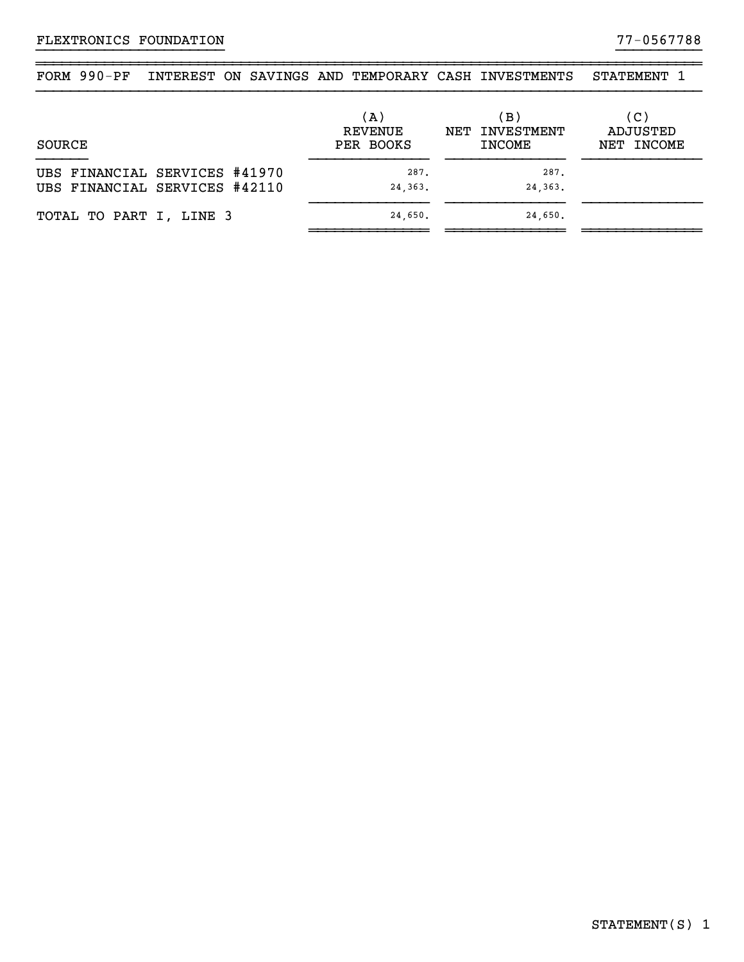| FORM 990-PF |  | INTEREST ON SAVINGS AND TEMPORARY CASH INVESTMENTS |                                  | STATEMENT 1     |
|-------------|--|----------------------------------------------------|----------------------------------|-----------------|
|             |  |                                                    |                                  |                 |
|             |  | (A)<br>REVENUE                                     | $\mathbf{B}$ )<br>NET INVESTMENT | (C)<br>ADJUSTED |
| SOURCE      |  | PER BOOKS                                          | INCOME                           | NET INCOME      |

~~~~~~~~~~~~~~~~~~~~~~~~~~~~~~~~~~~~~~~~~~~~~~~~~~~~~~~~~~~~~~~~~~~~~~~~~~~~~~

| UBS FINANCIAL SERVICES #41970 | 287.    | 287.    |  |
|-------------------------------|---------|---------|--|
| UBS FINANCIAL SERVICES #42110 | 24,363. | 24,363. |  |
| TOTAL TO PART I, LINE 3       | 24.650. | 24.650. |  |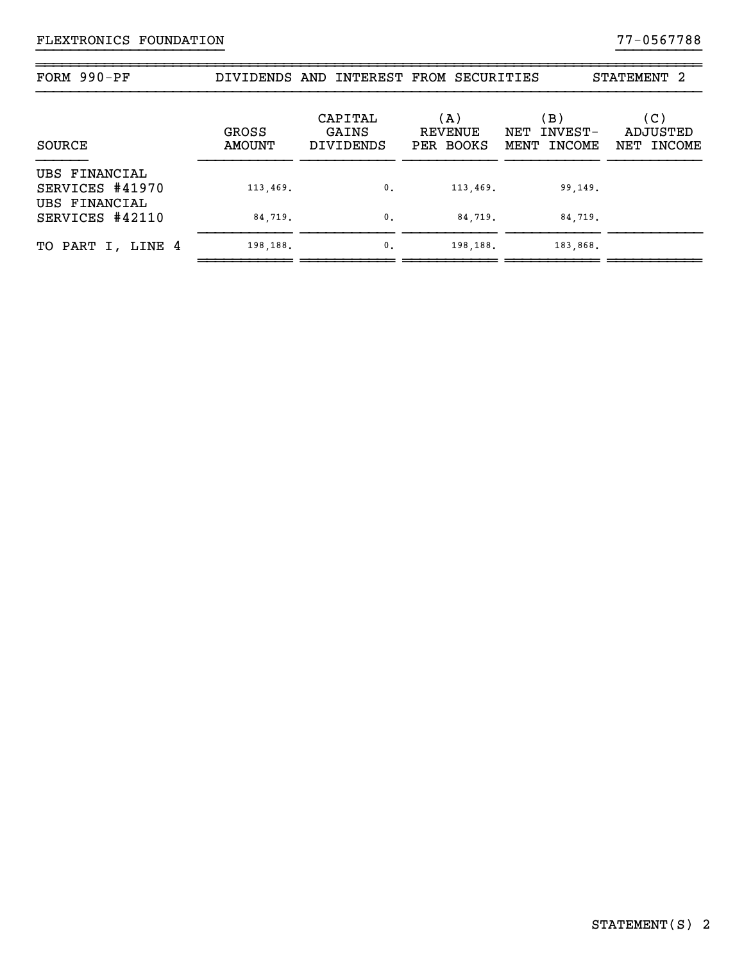## FLEXTRONICS FOUNDATION 77-0567788

| FORM 990-PF                      |                               | DIVIDENDS AND INTEREST FROM SECURITIES |                                    |                                   | STATEMENT <sub>2</sub>        |
|----------------------------------|-------------------------------|----------------------------------------|------------------------------------|-----------------------------------|-------------------------------|
| SOURCE                           | <b>GROSS</b><br><b>AMOUNT</b> | CAPITAL<br>GAINS<br><b>DIVIDENDS</b>   | (A)<br><b>REVENUE</b><br>PER BOOKS | (B)<br>NET INVEST-<br>MENT INCOME | (C)<br>ADJUSTED<br>NET INCOME |
| UBS FINANCIAL<br>SERVICES #41970 | 113,469.                      | 0.                                     | 113,469.                           | 99,149.                           |                               |
| UBS FINANCIAL<br>SERVICES #42110 | 84,719.                       | $\mathbf{0}$ .                         | 84,719.                            | 84,719.                           |                               |
| TO PART I, LINE 4                | 198,188.                      | $\mathbf{0}$ .                         | 198,188.                           | 183,868.                          |                               |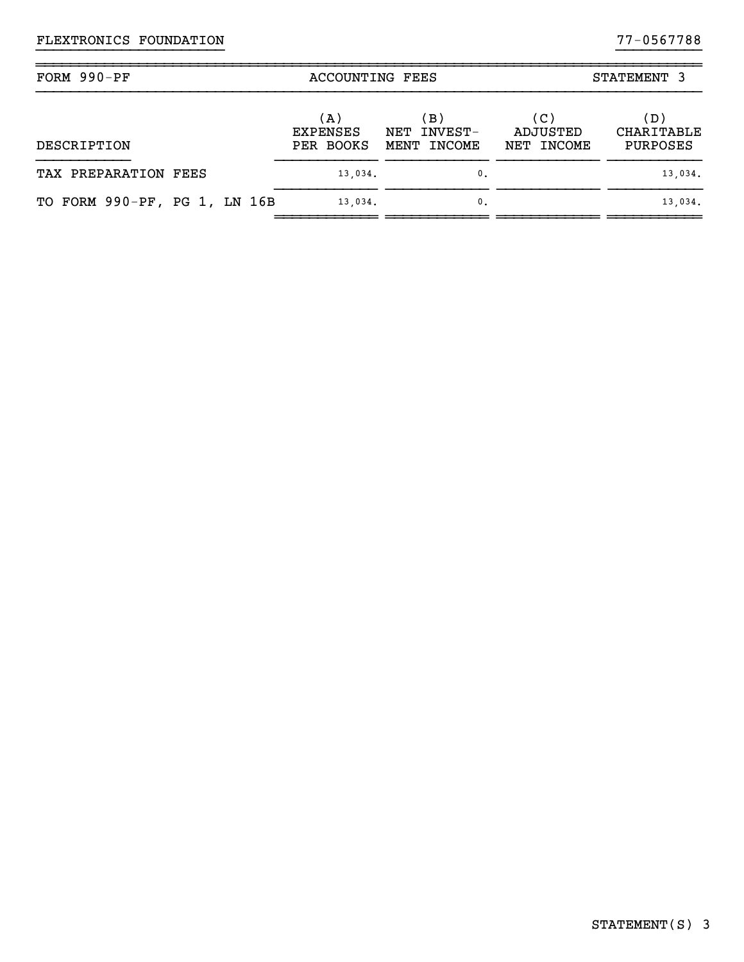| FORM 990-PF                  | <b>ACCOUNTING FEES</b>              |                                      |                               | STATEMENT 3                          |
|------------------------------|-------------------------------------|--------------------------------------|-------------------------------|--------------------------------------|
| DESCRIPTION                  | (A)<br><b>EXPENSES</b><br>PER BOOKS | (B)<br>INVEST-<br>NET<br>MENT INCOME | (C)<br>ADJUSTED<br>NET INCOME | (D)<br><b>CHARITABLE</b><br>PURPOSES |
| TAX PREPARATION FEES         | 13,034.                             | $\mathbf{0}$ .                       |                               | 13,034.                              |
| TO FORM 990-PF, PG 1, LN 16B | 13,034.                             | $\mathbf{0}$ .                       |                               | 13,034.                              |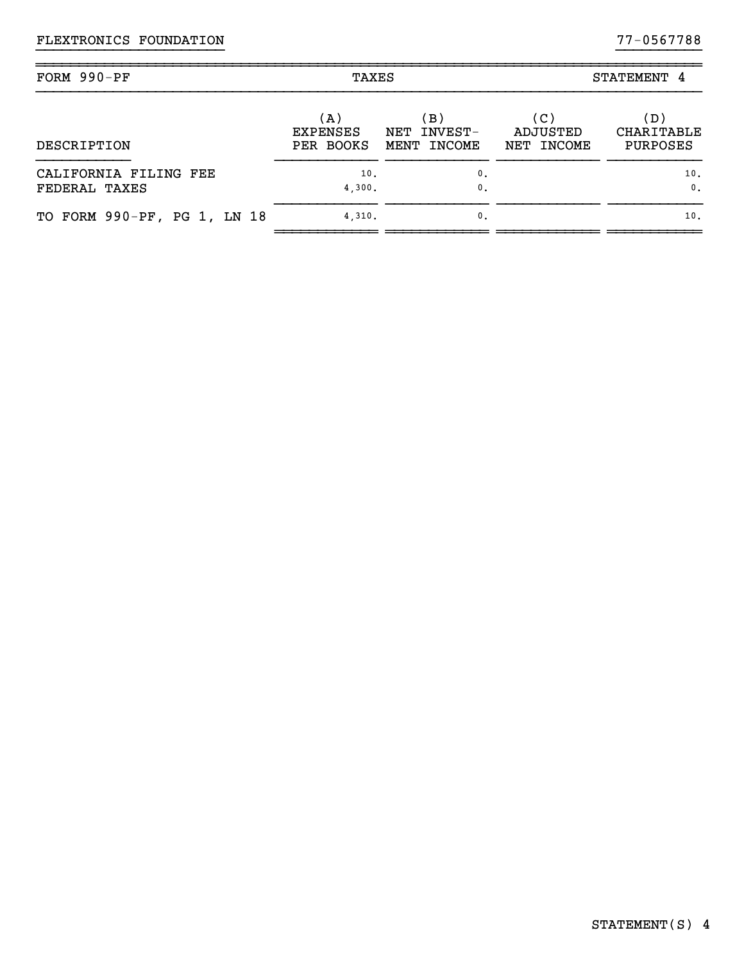| FORM 990-PF                            | TAXES                               |                                                   |                               | STATEMENT 4                   |  |
|----------------------------------------|-------------------------------------|---------------------------------------------------|-------------------------------|-------------------------------|--|
| DESCRIPTION                            | (A)<br><b>EXPENSES</b><br>PER BOOKS | $\,$ B $\rangle$<br>INVEST-<br>NET<br>MENT INCOME | (C)<br>ADJUSTED<br>NET INCOME | (D)<br>CHARITABLE<br>PURPOSES |  |
| CALIFORNIA FILING FEE<br>FEDERAL TAXES | 10.<br>4,300.                       | 0.<br>$\mathbf{0}$ .                              |                               | 10.<br>$\mathbf{0}$ .         |  |
| TO FORM 990-PF, PG 1, LN 18            | 4.310.                              | $\mathbf{0}$ .                                    |                               | 10.                           |  |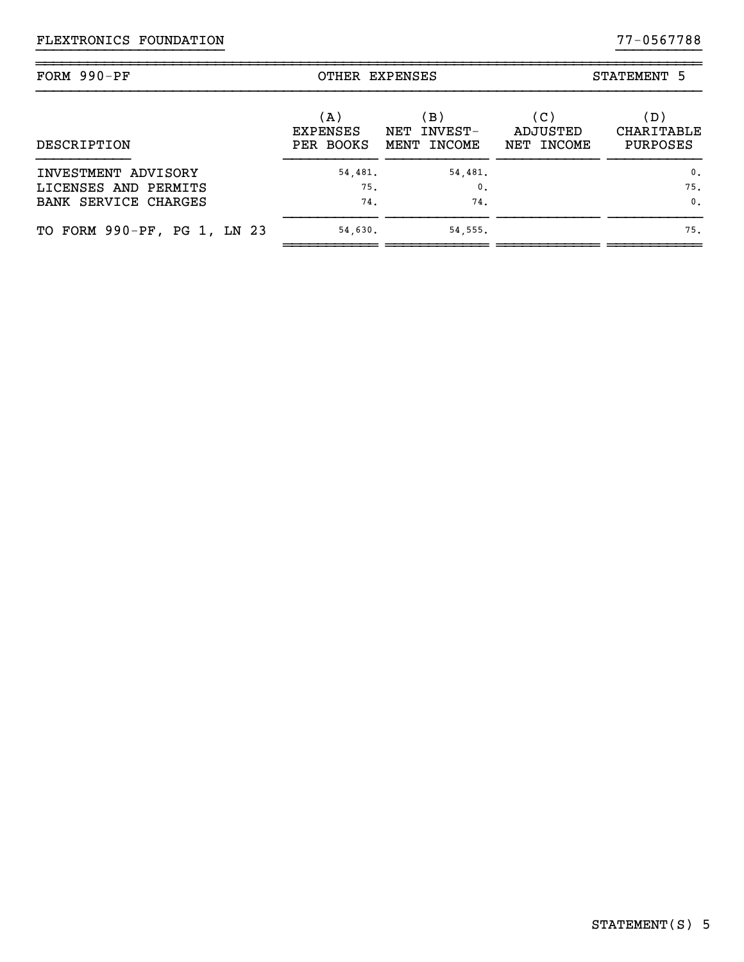| FORM 990-PF                                                         | OTHER EXPENSES                      |                                     |                               | STATEMENT 5                             |
|---------------------------------------------------------------------|-------------------------------------|-------------------------------------|-------------------------------|-----------------------------------------|
| DESCRIPTION                                                         | (A)<br><b>EXPENSES</b><br>PER BOOKS | B)<br>INVEST-<br>NET<br>MENT INCOME | (C)<br>ADJUSTED<br>NET INCOME | (D)<br>CHARITABLE<br><b>PURPOSES</b>    |
| INVESTMENT ADVISORY<br>LICENSES AND PERMITS<br>BANK SERVICE CHARGES | 54,481.<br>75.<br>74.               | 54,481.<br>0.<br>74.                |                               | $\mathbf{0}$ .<br>75.<br>$\mathbf{0}$ . |
| TO FORM 990-PF, PG 1, LN 23                                         | 54,630.                             | 54, 555.                            |                               | 75.                                     |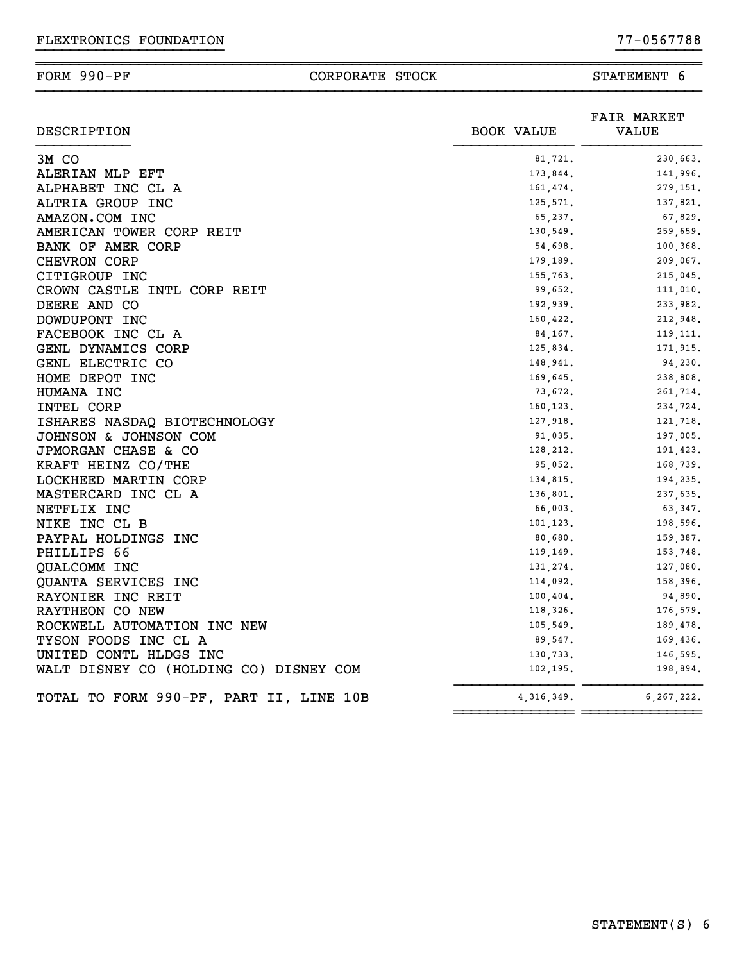#### ~~~~~~~~~~~~~~~~~~~~~~~~~~~~~~~~~~~~~~~~~~~~~~~~~~~~~~~~~~~~~~~~~~~~~~~~~~~~~~FORM 990-PF CORPORATE STOCK STATEMENT 6

| DESCRIPTION<br><b>BOOK VALUE</b>                      | <b>FAIR MARKET</b><br>VALUE |
|-------------------------------------------------------|-----------------------------|
| 3M CO<br>81,721.                                      | 230,663.                    |
| ALERIAN MLP EFT<br>173,844.                           | 141,996.                    |
| ALPHABET INC CL A<br>161,474.                         | 279,151.                    |
| ALTRIA GROUP INC<br>125,571.                          | 137,821.                    |
| AMAZON.COM INC<br>65,237.                             | 67,829.                     |
| AMERICAN TOWER CORP REIT<br>130,549.                  | 259,659.                    |
| BANK OF AMER CORP<br>54,698.                          | 100,368.                    |
| CHEVRON CORP<br>179,189.                              | 209,067.                    |
| CITIGROUP INC<br>155,763.                             | 215,045.                    |
| CROWN CASTLE INTL CORP REIT<br>99,652.                | 111,010.                    |
| DEERE AND CO<br>192,939.                              | 233,982.                    |
| DOWDUPONT INC<br>160, 422.                            | 212,948.                    |
| FACEBOOK INC CL A<br>84, 167.                         | 119, 111.                   |
| GENL DYNAMICS CORP<br>125,834.                        | 171,915.                    |
| GENL ELECTRIC CO<br>148,941.                          | 94,230.                     |
| HOME DEPOT INC<br>169,645.                            | 238,808.                    |
| HUMANA INC<br>73,672.                                 | 261,714.                    |
| INTEL CORP<br>160,123.                                | 234,724.                    |
| ISHARES NASDAQ BIOTECHNOLOGY<br>127,918.              | 121,718.                    |
| JOHNSON & JOHNSON COM<br>91,035.                      | 197,005.                    |
| JPMORGAN CHASE & CO<br>128,212.                       | 191,423.                    |
| KRAFT HEINZ CO/THE<br>95,052.                         | 168,739.                    |
| LOCKHEED MARTIN CORP<br>134,815.                      | 194,235.                    |
| MASTERCARD INC CL A<br>136,801.                       | 237,635.                    |
| NETFLIX INC<br>66,003.                                | 63,347.                     |
| NIKE INC CL B<br>101,123.                             | 198,596.                    |
| PAYPAL HOLDINGS INC<br>80,680.                        | 159,387.                    |
| PHILLIPS 66<br>119, 149.                              | 153,748.                    |
| QUALCOMM INC<br>131,274.                              | 127,080.                    |
| QUANTA SERVICES INC<br>114,092.                       | 158,396.                    |
| RAYONIER INC REIT<br>100, 404.                        | 94,890.                     |
| RAYTHEON CO NEW<br>118,326.                           | 176,579.                    |
| ROCKWELL AUTOMATION INC NEW<br>105, 549.              | 189,478.                    |
| TYSON FOODS INC CL A<br>89,547.                       | 169,436.                    |
| UNITED CONTL HLDGS INC<br>130,733.                    | 146,595.                    |
| WALT DISNEY CO (HOLDING CO) DISNEY COM<br>102,195.    | 198,894.                    |
| TOTAL TO FORM 990-PF, PART II, LINE 10B<br>4,316,349. | 6, 267, 222.                |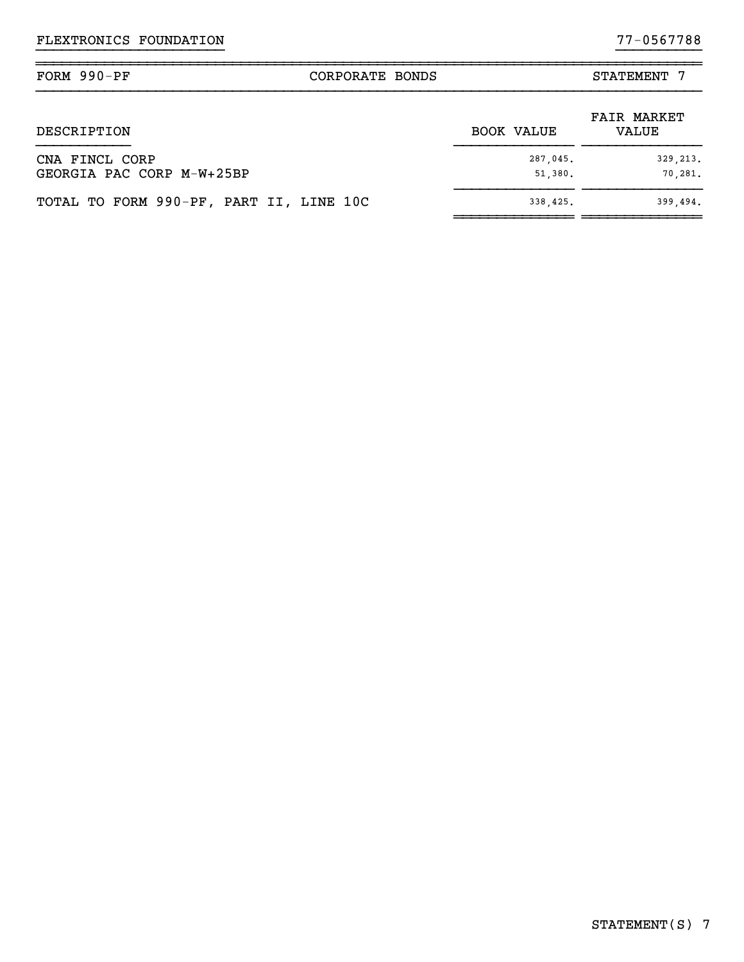| FORM $990-PF$                               | CORPORATE BONDS |                     | STATEMENT 7                 |
|---------------------------------------------|-----------------|---------------------|-----------------------------|
| DESCRIPTION                                 |                 | <b>BOOK VALUE</b>   | <b>FAIR MARKET</b><br>VALUE |
| CNA FINCL CORP<br>GEORGIA PAC CORP M-W+25BP |                 | 287,045.<br>51,380. | 329, 213.<br>70.281.        |
| TOTAL TO FORM 990-PF, PART II, LINE 10C     |                 | 338,425.            | 399,494.                    |

~~~~~~~~~~~~~~ ~~~~~~~~~~~~~~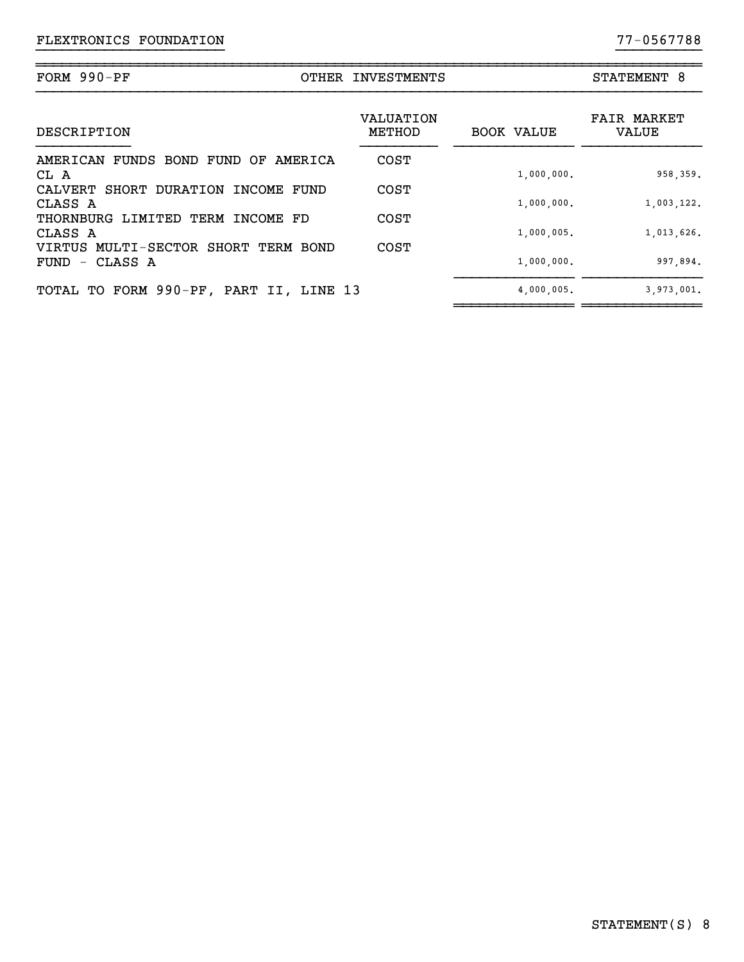|                        |                                                                           | STATEMENT 8                                                                               |                             |
|------------------------|---------------------------------------------------------------------------|-------------------------------------------------------------------------------------------|-----------------------------|
|                        | VALUATION<br>METHOD                                                       | <b>BOOK VALUE</b>                                                                         | <b>FAIR MARKET</b><br>VALUE |
| AMERICA                | <b>COST</b>                                                               |                                                                                           |                             |
|                        |                                                                           | 1,000,000.                                                                                | 958,359.                    |
|                        |                                                                           | 1,000,000.                                                                                | 1,003,122.                  |
| LIMITED TERM INCOME FD | <b>COST</b>                                                               |                                                                                           |                             |
|                        |                                                                           |                                                                                           | 1,013,626.                  |
|                        |                                                                           | 1,000,000.                                                                                | 997,894.                    |
|                        |                                                                           | 4,000,005.                                                                                | 3,973,001.                  |
|                        | CALVERT SHORT DURATION INCOME FUND<br>VIRTUS MULTI-SECTOR SHORT TERM BOND | OTHER INVESTMENTS<br><b>COST</b><br><b>COST</b><br>TOTAL TO FORM 990-PF, PART II, LINE 13 | 1,000,005.                  |

~~~~~~~~~~~~~~~~~~~~~~~~~~~~~~~~~~~~~~~~~~~~~~~~~~~~~~~~~~~~~~~~~~~~~~~~~~~~~~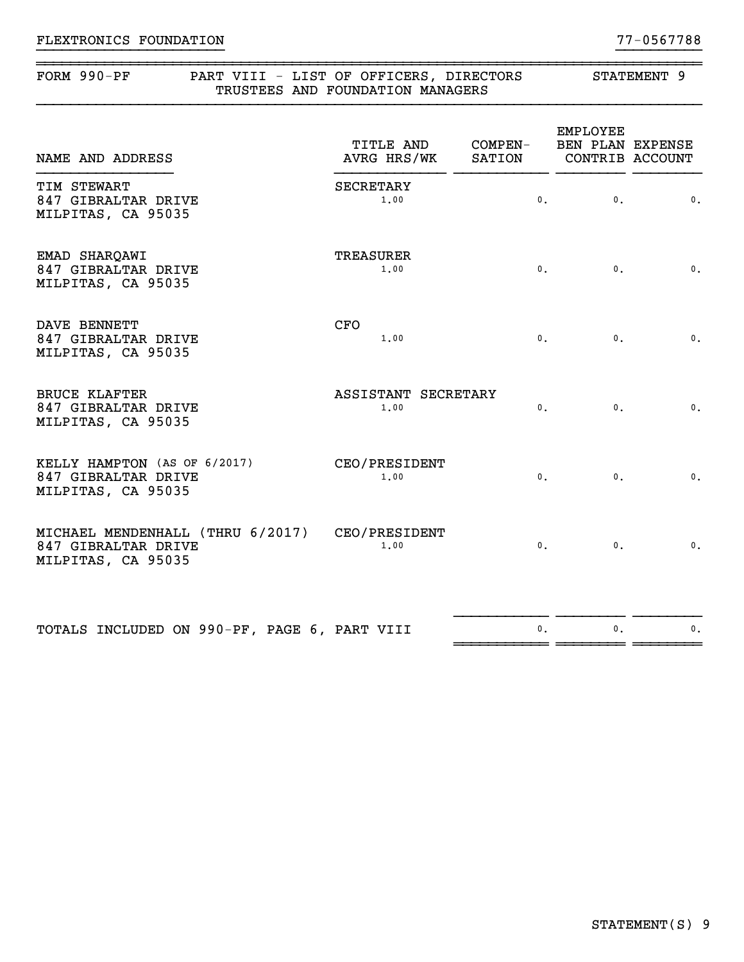### ~~~~~~~~~~~~~~~~~~~~~~~~~~~~~~~~~~~~~~~~~~~~~~~~~~~~~~~~~~~~~~~~~~~~~~~~~~~~~~FORM 990-PF PART VIII - LIST OF OFFICERS, DIRECTORS STATEMENT 9

| TRUSTEES AND FOUNDATION MANAGERS |  |  |  |
|----------------------------------|--|--|--|
|                                  |  |  |  |

| NAME AND ADDRESS                                                                            | TITLE AND<br>AVRG HRS/WK SATION CONTRIB ACCOUNT | COMPEN-        | EMPLOYEE<br>BEN PLAN EXPENSE |                 |
|---------------------------------------------------------------------------------------------|-------------------------------------------------|----------------|------------------------------|-----------------|
| TIM STEWART<br>847 GIBRALTAR DRIVE<br>MILPITAS, CA 95035                                    | <b>SECRETARY</b><br>1,00                        | $\mathbf{0}$ . | $\mathbf{0}$ .               | $\mathbf{0}$ .  |
| EMAD SHARQAWI<br>847 GIBRALTAR DRIVE<br>MILPITAS, CA 95035                                  | <b>TREASURER</b><br>1.00                        | $\mathbf{0}$ . | $\mathbf{0}$ .               | $\mathfrak o$ . |
| <b>DAVE BENNETT</b><br>847 GIBRALTAR DRIVE<br>MILPITAS, CA 95035                            | <b>CFO</b><br>1.00                              | 0.             | $\mathbf{0}$ .               | $\mathbf{0}$ .  |
| <b>BRUCE KLAFTER</b><br>847 GIBRALTAR DRIVE<br>MILPITAS, CA 95035                           | ASSISTANT SECRETARY<br>1.00                     | $\mathbf{0}$ . | $\mathbf{0}$ .               | $\mathfrak o$ . |
| KELLY HAMPTON (AS OF 6/2017)<br>847 GIBRALTAR DRIVE<br>MILPITAS, CA 95035                   | CEO/PRESIDENT<br>1.00                           | 0.             | $\mathbf{0}$ .               | $\mathbf{0}$ .  |
| MICHAEL MENDENHALL (THRU 6/2017) CEO/PRESIDENT<br>847 GIBRALTAR DRIVE<br>MILPITAS, CA 95035 | 1.00                                            | 0.             | $\mathbf{0}$ .               | $\mathfrak o$ . |
| TOTALS INCLUDED ON 990-PF, PAGE 6, PART VIII                                                |                                                 | 0.             | 0.                           | $\mathbf 0$ .   |
|                                                                                             |                                                 |                |                              |                 |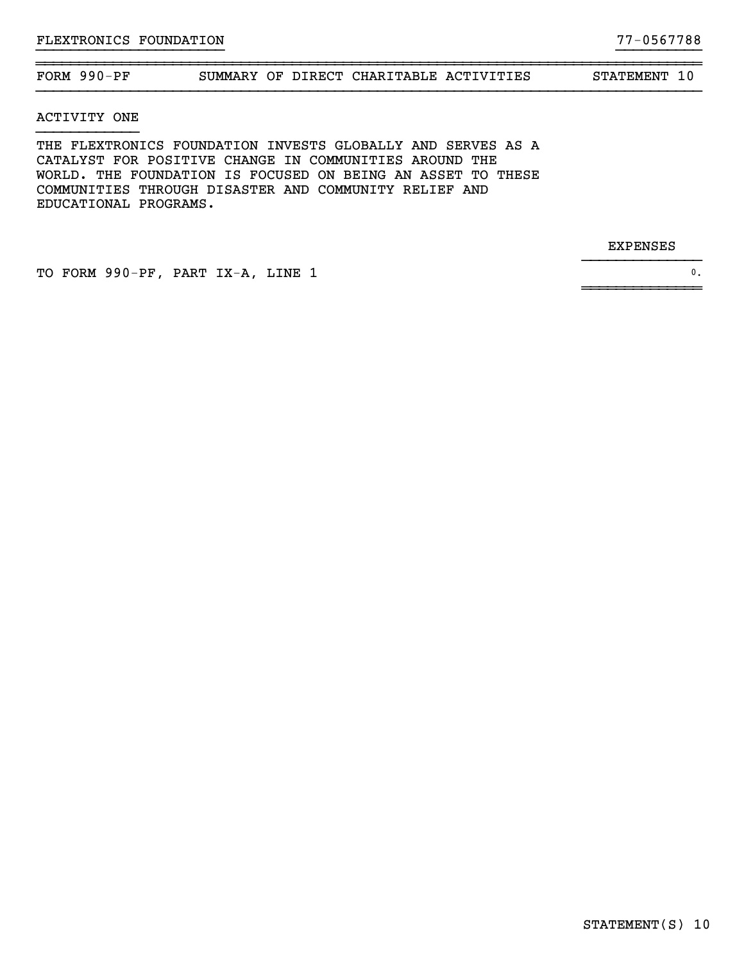#### ~~~~~~~~~~~~~~~~~~~~~~~~~~~~~~~~~~~~~~~~~~~~~~~~~~~~~~~~~~~~~~~~~~~~~~~~~~~~~~FORM 990-PF SUMMARY OF DIRECT CHARITABLE ACTIVITIES STATEMENT 10

}}}}}}}}}}}}}}}}}}}}}} }}}}}}}}}}

}}}}}}}}}}}}}}

~~~~~~~~~~~~~~

ACTIVITY ONE

THE FLEXTRONICS FOUNDATION INVESTS GLOBALLY AND SERVES AS A CATALYST FOR POSITIVE CHANGE IN COMMUNITIES AROUND THE WORLD. THE FOUNDATION IS FOCUSED ON BEING AN ASSET TO THESE COMMUNITIES THROUGH DISASTER AND COMMUNITY RELIEF AND EDUCATIONAL PROGRAMS.

EXPENSES

TO FORM 990-PF, PART IX-A, LINE 1 0.